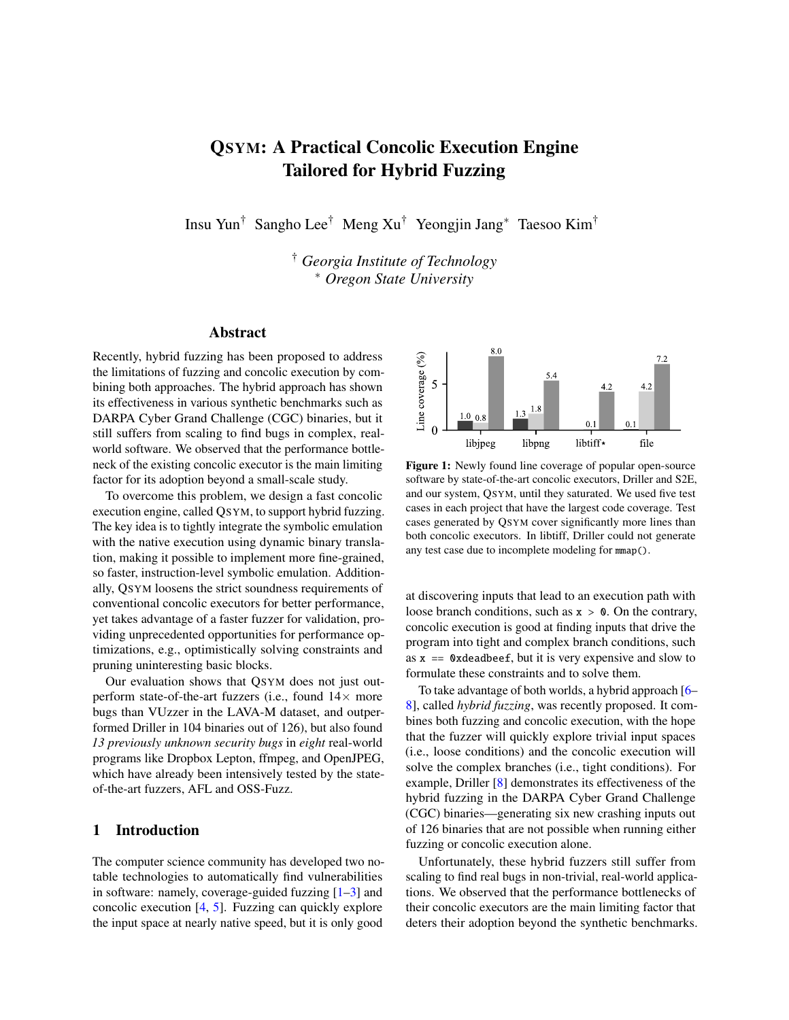# QSYM: A Practical Concolic Execution Engine Tailored for Hybrid Fuzzing

Insu Yun† Sangho Lee† Meng Xu† Yeongjin Jang<sup>∗</sup> Taesoo Kim†

† *Georgia Institute of Technology* <sup>∗</sup> *Oregon State University*

## Abstract

Recently, hybrid fuzzing has been proposed to address the limitations of fuzzing and concolic execution by combining both approaches. The hybrid approach has shown its effectiveness in various synthetic benchmarks such as DARPA Cyber Grand Challenge (CGC) binaries, but it still suffers from scaling to find bugs in complex, realworld software. We observed that the performance bottleneck of the existing concolic executor is the main limiting factor for its adoption beyond a small-scale study.

To overcome this problem, we design a fast concolic execution engine, called QSYM, to support hybrid fuzzing. The key idea is to tightly integrate the symbolic emulation with the native execution using dynamic binary translation, making it possible to implement more fine-grained, so faster, instruction-level symbolic emulation. Additionally, QSYM loosens the strict soundness requirements of conventional concolic executors for better performance, yet takes advantage of a faster fuzzer for validation, providing unprecedented opportunities for performance optimizations, e.g., optimistically solving constraints and pruning uninteresting basic blocks.

Our evaluation shows that QSYM does not just outperform state-of-the-art fuzzers (i.e., found  $14\times$  more bugs than VUzzer in the LAVA-M dataset, and outperformed Driller in 104 binaries out of 126), but also found *13 previously unknown security bugs* in *eight* real-world programs like Dropbox Lepton, ffmpeg, and OpenJPEG, which have already been intensively tested by the stateof-the-art fuzzers, AFL and OSS-Fuzz.

#### 1 Introduction

The computer science community has developed two notable technologies to automatically find vulnerabilities in software: namely, coverage-guided fuzzing [\[1–](#page-14-0)[3\]](#page-14-1) and concolic execution [\[4,](#page-14-2) [5\]](#page-14-3). Fuzzing can quickly explore the input space at nearly native speed, but it is only good

<span id="page-0-0"></span>

Figure 1: Newly found line coverage of popular open-source software by state-of-the-art concolic executors, Driller and S2E, and our system, QSYM, until they saturated. We used five test cases in each project that have the largest code coverage. Test cases generated by QSYM cover significantly more lines than both concolic executors. In libtiff, Driller could not generate any test case due to incomplete modeling for mmap().

at discovering inputs that lead to an execution path with loose branch conditions, such as  $x > 0$ . On the contrary, concolic execution is good at finding inputs that drive the program into tight and complex branch conditions, such as  $x = 0x$  deadbeef, but it is very expensive and slow to formulate these constraints and to solve them.

To take advantage of both worlds, a hybrid approach [\[6–](#page-15-0) [8\]](#page-15-1), called *hybrid fuzzing*, was recently proposed. It combines both fuzzing and concolic execution, with the hope that the fuzzer will quickly explore trivial input spaces (i.e., loose conditions) and the concolic execution will solve the complex branches (i.e., tight conditions). For example, Driller [\[8\]](#page-15-1) demonstrates its effectiveness of the hybrid fuzzing in the DARPA Cyber Grand Challenge (CGC) binaries—generating six new crashing inputs out of 126 binaries that are not possible when running either fuzzing or concolic execution alone.

Unfortunately, these hybrid fuzzers still suffer from scaling to find real bugs in non-trivial, real-world applications. We observed that the performance bottlenecks of their concolic executors are the main limiting factor that deters their adoption beyond the synthetic benchmarks.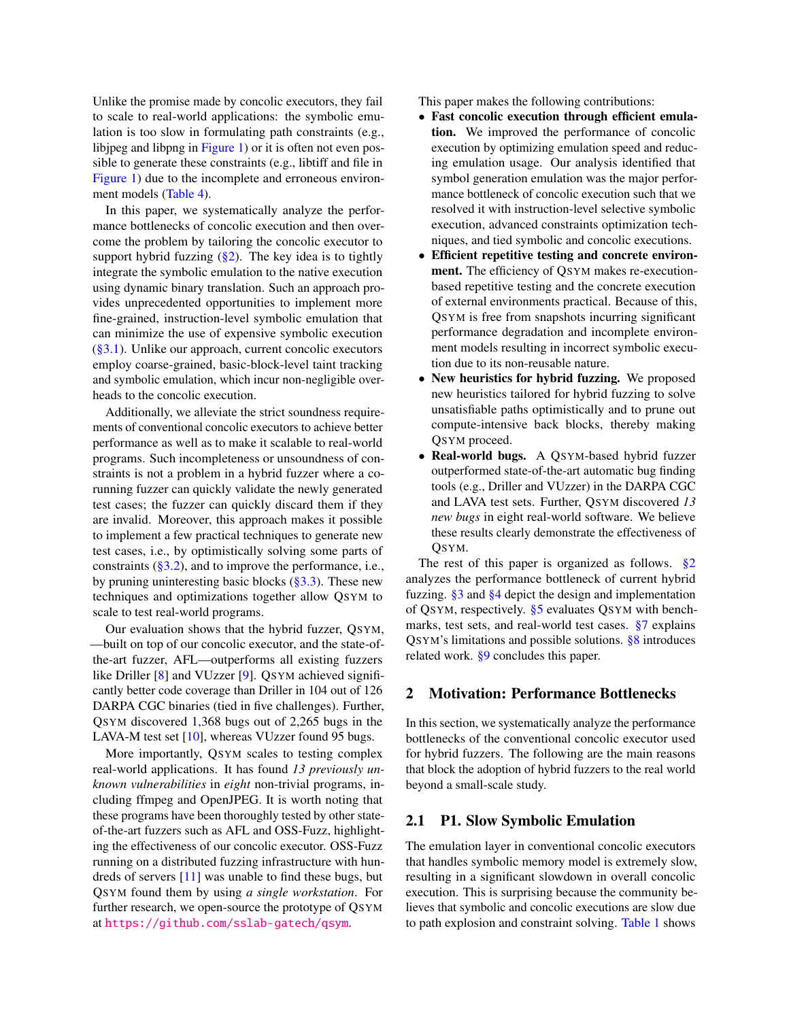Unlike the promise made by concolic executors, they fail to scale to real-world applications: the symbolic emulation is too slow in formulating path constraints (e.g., libjpeg and libpng in [Figure 1\)](#page-0-0) or it is often not even possible to generate these constraints (e.g., libtiff and file in [Figure 1\)](#page-0-0) due to the incomplete and erroneous environment models [\(Table 4\)](#page-8-0).

In this paper, we systematically analyze the performance bottlenecks of concolic execution and then overcome the problem by tailoring the concolic executor to support hybrid fuzzing  $(\frac{8}{2})$ . The key idea is to tightly integrate the symbolic emulation to the native execution using dynamic binary translation. Such an approach provides unprecedented opportunities to implement more fine-grained, instruction-level symbolic emulation that can minimize the use of expensive symbolic execution  $(\S 3.1)$ . Unlike our approach, current concolic executors employ coarse-grained, basic-block-level taint tracking and symbolic emulation, which incur non-negligible overheads to the concolic execution.

Additionally, we alleviate the strict soundness requirements of conventional concolic executors to achieve better performance as well as to make it scalable to real-world programs. Such incompleteness or unsoundness of constraints is not a problem in a hybrid fuzzer where a corunning fuzzer can quickly validate the newly generated test cases; the fuzzer can quickly discard them if they are invalid. Moreover, this approach makes it possible to implement a few practical techniques to generate new test cases, i.e., by optimistically solving some parts of constraints  $(\S3.2)$ , and to improve the performance, i.e., by pruning uninteresting basic blocks [\(§3.3\)](#page-6-1). These new techniques and optimizations together allow QSYM to scale to test real-world programs.

Our evaluation shows that the hybrid fuzzer, QSYM, —built on top of our concolic executor, and the state-ofthe-art fuzzer, AFL—outperforms all existing fuzzers like Driller [\[8\]](#page-15-1) and VUzzer [\[9\]](#page-15-2). QSYM achieved significantly better code coverage than Driller in 104 out of 126 DARPA CGC binaries (tied in five challenges). Further, QSYM discovered 1,368 bugs out of 2,265 bugs in the LAVA-M test set  $[10]$ , whereas VUzzer found 95 bugs.

More importantly, QSYM scales to testing complex real-world applications. It has found *13 previously unknown vulnerabilities* in *eight* non-trivial programs, including ffmpeg and OpenJPEG. It is worth noting that these programs have been thoroughly tested by other stateof-the-art fuzzers such as AFL and OSS-Fuzz, highlighting the effectiveness of our concolic executor. OSS-Fuzz running on a distributed fuzzing infrastructure with hundreds of servers [\[11\]](#page-15-4) was unable to find these bugs, but QSYM found them by using *a single workstation*. For further research, we open-source the prototype of QSYM at <https://github.com/sslab-gatech/qsym>.

This paper makes the following contributions:

- Fast concolic execution through efficient emulation. We improved the performance of concolic execution by optimizing emulation speed and reducing emulation usage. Our analysis identified that symbol generation emulation was the major performance bottleneck of concolic execution such that we resolved it with instruction-level selective symbolic execution, advanced constraints optimization techniques, and tied symbolic and concolic executions.
- Efficient repetitive testing and concrete environment. The efficiency of QSYM makes re-executionbased repetitive testing and the concrete execution of external environments practical. Because of this, QSYM is free from snapshots incurring significant performance degradation and incomplete environment models resulting in incorrect symbolic execution due to its non-reusable nature.
- New heuristics for hybrid fuzzing. We proposed new heuristics tailored for hybrid fuzzing to solve unsatisfiable paths optimistically and to prune out compute-intensive back blocks, thereby making QSYM proceed.
- Real-world bugs. A QSYM-based hybrid fuzzer outperformed state-of-the-art automatic bug finding tools (e.g., Driller and VUzzer) in the DARPA CGC and LAVA test sets. Further, QSYM discovered *13 new bugs* in eight real-world software. We believe these results clearly demonstrate the effectiveness of QSYM.

The rest of this paper is organized as follows.  $\S2$ analyzes the performance bottleneck of current hybrid fuzzing. [§3](#page-4-1) and [§4](#page-7-0) depict the design and implementation of QSYM, respectively. [§5](#page-7-1) evaluates QSYM with benchmarks, test sets, and real-world test cases. [§7](#page-13-0) explains QSYM's limitations and possible solutions. [§8](#page-13-1) introduces related work. [§9](#page-14-4) concludes this paper.

#### <span id="page-1-0"></span>2 Motivation: Performance Bottlenecks

In this section, we systematically analyze the performance bottlenecks of the conventional concolic executor used for hybrid fuzzers. The following are the main reasons that block the adoption of hybrid fuzzers to the real world beyond a small-scale study.

## 2.1 P1. Slow Symbolic Emulation

The emulation layer in conventional concolic executors that handles symbolic memory model is extremely slow, resulting in a significant slowdown in overall concolic execution. This is surprising because the community believes that symbolic and concolic executions are slow due to path explosion and constraint solving. [Table 1](#page-2-0) shows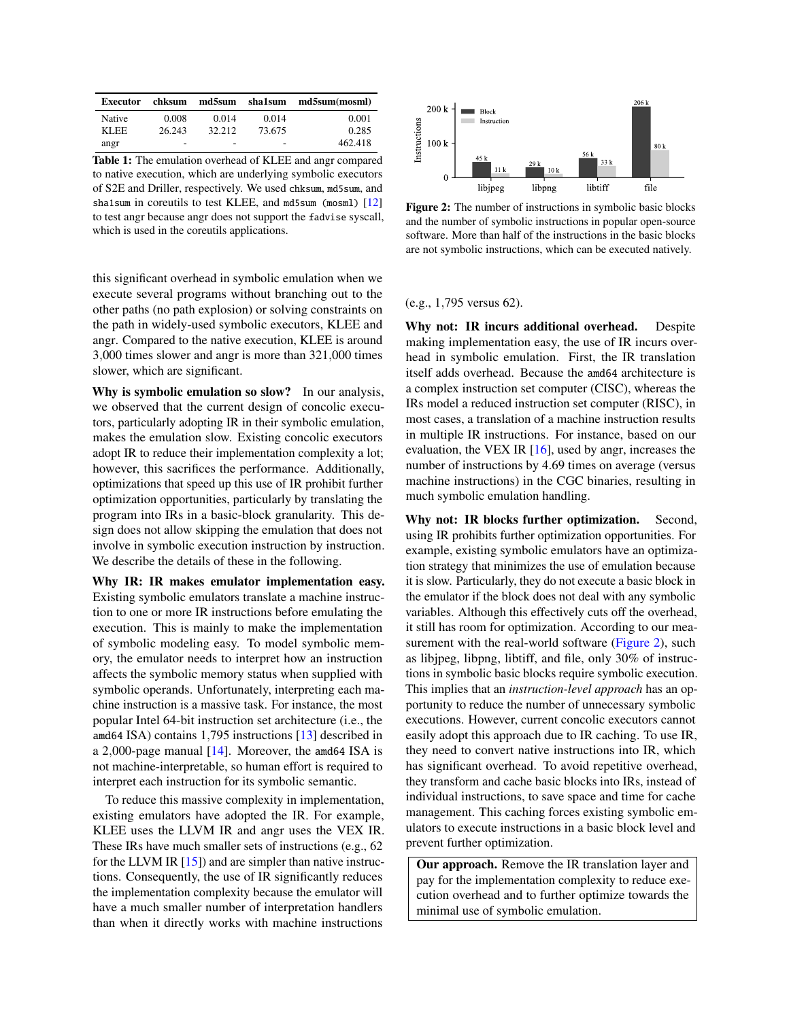<span id="page-2-0"></span>

| Executor | chksum                   | md5sum                   | sha1sum | md5sum(mosml) |
|----------|--------------------------|--------------------------|---------|---------------|
| Native   | 0.008                    | 0.014                    | 0.014   | 0.001         |
| KLEE.    | 26.243                   | 32.212                   | 73.675  | 0.285         |
| angr     | $\overline{\phantom{a}}$ | $\overline{\phantom{a}}$ | -       | 462.418       |

Table 1: The emulation overhead of KLEE and angr compared to native execution, which are underlying symbolic executors of S2E and Driller, respectively. We used chksum, md5sum, and sha1sum in coreutils to test KLEE, and md5sum (mosm1) [\[12\]](#page-15-5) to test angr because angr does not support the fadvise syscall, which is used in the coreutils applications.

this significant overhead in symbolic emulation when we execute several programs without branching out to the other paths (no path explosion) or solving constraints on the path in widely-used symbolic executors, KLEE and angr. Compared to the native execution, KLEE is around 3,000 times slower and angr is more than 321,000 times slower, which are significant.

Why is symbolic emulation so slow? In our analysis, we observed that the current design of concolic executors, particularly adopting IR in their symbolic emulation, makes the emulation slow. Existing concolic executors adopt IR to reduce their implementation complexity a lot; however, this sacrifices the performance. Additionally, optimizations that speed up this use of IR prohibit further optimization opportunities, particularly by translating the program into IRs in a basic-block granularity. This design does not allow skipping the emulation that does not involve in symbolic execution instruction by instruction. We describe the details of these in the following.

Why IR: IR makes emulator implementation easy. Existing symbolic emulators translate a machine instruction to one or more IR instructions before emulating the execution. This is mainly to make the implementation of symbolic modeling easy. To model symbolic memory, the emulator needs to interpret how an instruction affects the symbolic memory status when supplied with symbolic operands. Unfortunately, interpreting each machine instruction is a massive task. For instance, the most popular Intel 64-bit instruction set architecture (i.e., the amd64 ISA) contains 1,795 instructions [\[13\]](#page-15-6) described in a 2,000-page manual [\[14\]](#page-15-7). Moreover, the amd64 ISA is not machine-interpretable, so human effort is required to interpret each instruction for its symbolic semantic.

To reduce this massive complexity in implementation, existing emulators have adopted the IR. For example, KLEE uses the LLVM IR and angr uses the VEX IR. These IRs have much smaller sets of instructions (e.g., 62 for the LLVM IR  $[15]$ ) and are simpler than native instructions. Consequently, the use of IR significantly reduces the implementation complexity because the emulator will have a much smaller number of interpretation handlers than when it directly works with machine instructions

<span id="page-2-1"></span>

Figure 2: The number of instructions in symbolic basic blocks and the number of symbolic instructions in popular open-source software. More than half of the instructions in the basic blocks are not symbolic instructions, which can be executed natively.

#### (e.g., 1,795 versus 62).

Why not: IR incurs additional overhead. Despite making implementation easy, the use of IR incurs overhead in symbolic emulation. First, the IR translation itself adds overhead. Because the amd64 architecture is a complex instruction set computer (CISC), whereas the IRs model a reduced instruction set computer (RISC), in most cases, a translation of a machine instruction results in multiple IR instructions. For instance, based on our evaluation, the VEX IR [\[16\]](#page-15-9), used by angr, increases the number of instructions by 4.69 times on average (versus machine instructions) in the CGC binaries, resulting in much symbolic emulation handling.

Why not: IR blocks further optimization. Second, using IR prohibits further optimization opportunities. For example, existing symbolic emulators have an optimization strategy that minimizes the use of emulation because it is slow. Particularly, they do not execute a basic block in the emulator if the block does not deal with any symbolic variables. Although this effectively cuts off the overhead, it still has room for optimization. According to our mea-surement with the real-world software [\(Figure 2\)](#page-2-1), such as libjpeg, libpng, libtiff, and file, only 30% of instructions in symbolic basic blocks require symbolic execution. This implies that an *instruction-level approach* has an opportunity to reduce the number of unnecessary symbolic executions. However, current concolic executors cannot easily adopt this approach due to IR caching. To use IR, they need to convert native instructions into IR, which has significant overhead. To avoid repetitive overhead, they transform and cache basic blocks into IRs, instead of individual instructions, to save space and time for cache management. This caching forces existing symbolic emulators to execute instructions in a basic block level and prevent further optimization.

Our approach. Remove the IR translation layer and pay for the implementation complexity to reduce execution overhead and to further optimize towards the minimal use of symbolic emulation.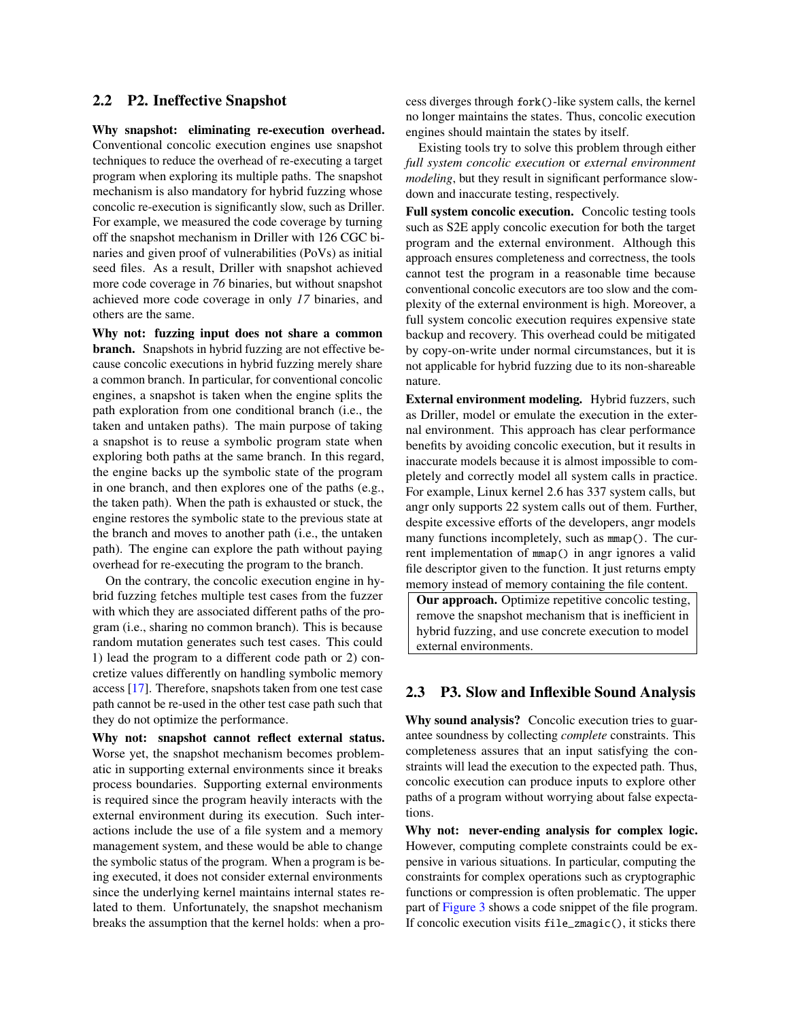#### 2.2 P2. Ineffective Snapshot

Why snapshot: eliminating re-execution overhead. Conventional concolic execution engines use snapshot techniques to reduce the overhead of re-executing a target program when exploring its multiple paths. The snapshot mechanism is also mandatory for hybrid fuzzing whose concolic re-execution is significantly slow, such as Driller. For example, we measured the code coverage by turning off the snapshot mechanism in Driller with 126 CGC binaries and given proof of vulnerabilities (PoVs) as initial seed files. As a result, Driller with snapshot achieved more code coverage in *76* binaries, but without snapshot achieved more code coverage in only *17* binaries, and others are the same.

Why not: fuzzing input does not share a common branch. Snapshots in hybrid fuzzing are not effective because concolic executions in hybrid fuzzing merely share a common branch. In particular, for conventional concolic engines, a snapshot is taken when the engine splits the path exploration from one conditional branch (i.e., the taken and untaken paths). The main purpose of taking a snapshot is to reuse a symbolic program state when exploring both paths at the same branch. In this regard, the engine backs up the symbolic state of the program in one branch, and then explores one of the paths (e.g., the taken path). When the path is exhausted or stuck, the engine restores the symbolic state to the previous state at the branch and moves to another path (i.e., the untaken path). The engine can explore the path without paying overhead for re-executing the program to the branch.

On the contrary, the concolic execution engine in hybrid fuzzing fetches multiple test cases from the fuzzer with which they are associated different paths of the program (i.e., sharing no common branch). This is because random mutation generates such test cases. This could 1) lead the program to a different code path or 2) concretize values differently on handling symbolic memory access [\[17\]](#page-15-10). Therefore, snapshots taken from one test case path cannot be re-used in the other test case path such that they do not optimize the performance.

Why not: snapshot cannot reflect external status. Worse yet, the snapshot mechanism becomes problematic in supporting external environments since it breaks process boundaries. Supporting external environments is required since the program heavily interacts with the external environment during its execution. Such interactions include the use of a file system and a memory management system, and these would be able to change the symbolic status of the program. When a program is being executed, it does not consider external environments since the underlying kernel maintains internal states related to them. Unfortunately, the snapshot mechanism breaks the assumption that the kernel holds: when a process diverges through fork()-like system calls, the kernel no longer maintains the states. Thus, concolic execution engines should maintain the states by itself.

Existing tools try to solve this problem through either *full system concolic execution* or *external environment modeling*, but they result in significant performance slowdown and inaccurate testing, respectively.

Full system concolic execution. Concolic testing tools such as S2E apply concolic execution for both the target program and the external environment. Although this approach ensures completeness and correctness, the tools cannot test the program in a reasonable time because conventional concolic executors are too slow and the complexity of the external environment is high. Moreover, a full system concolic execution requires expensive state backup and recovery. This overhead could be mitigated by copy-on-write under normal circumstances, but it is not applicable for hybrid fuzzing due to its non-shareable nature.

External environment modeling. Hybrid fuzzers, such as Driller, model or emulate the execution in the external environment. This approach has clear performance benefits by avoiding concolic execution, but it results in inaccurate models because it is almost impossible to completely and correctly model all system calls in practice. For example, Linux kernel 2.6 has 337 system calls, but angr only supports 22 system calls out of them. Further, despite excessive efforts of the developers, angr models many functions incompletely, such as mmap(). The current implementation of mmap() in angr ignores a valid file descriptor given to the function. It just returns empty memory instead of memory containing the file content.

Our approach. Optimize repetitive concolic testing, remove the snapshot mechanism that is inefficient in hybrid fuzzing, and use concrete execution to model external environments.

#### 2.3 P3. Slow and Inflexible Sound Analysis

Why sound analysis? Concolic execution tries to guarantee soundness by collecting *complete* constraints. This completeness assures that an input satisfying the constraints will lead the execution to the expected path. Thus, concolic execution can produce inputs to explore other paths of a program without worrying about false expectations.

Why not: never-ending analysis for complex logic. However, computing complete constraints could be expensive in various situations. In particular, computing the constraints for complex operations such as cryptographic functions or compression is often problematic. The upper part of [Figure 3](#page-4-2) shows a code snippet of the file program. If concolic execution visits file\_zmagic(), it sticks there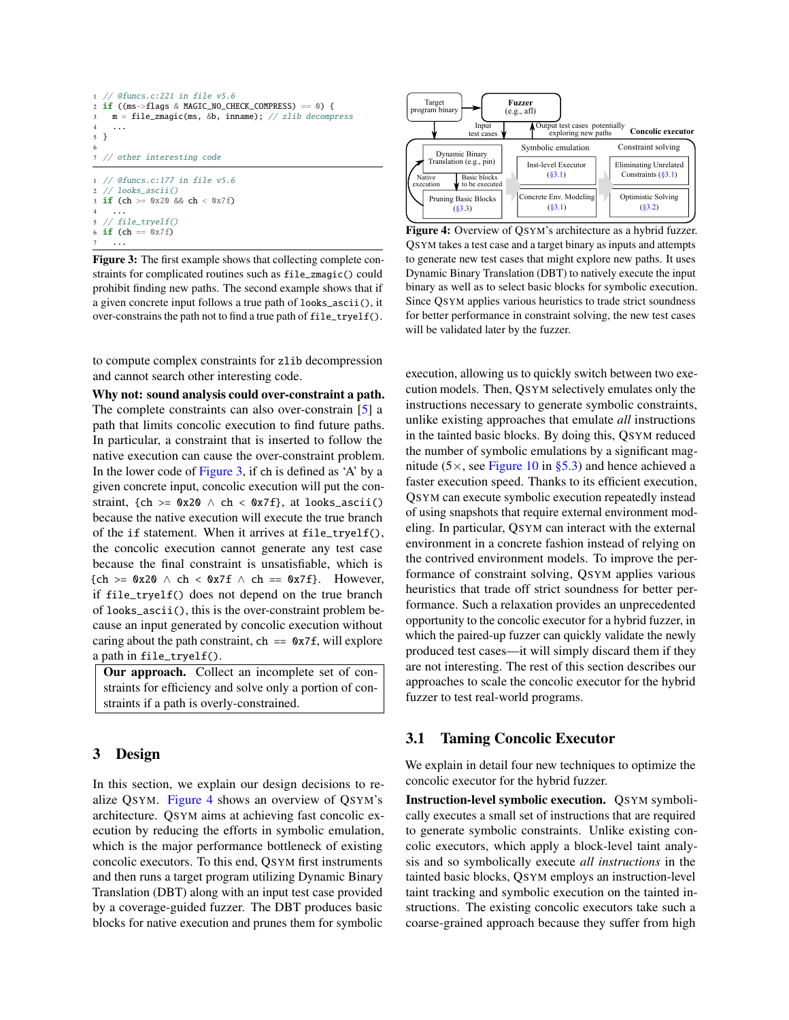```
1 // @funcs.c:221 in file v5.6
2 \text{ if } ((ms->flags & MAGIC_NO_CHECK_COMPRESS) == 0)m = file\_zmagic(ms, &b, inname); // zlib decompress4 ...
5 }
6
7 // other interesting code
1 // @funcs.c:177 in file v5.6
    'looks_ascii()
3 if (ch >= 0x20 && ch < 0x7f)
4 ...
5 // file_tryelf()
6 if (ch == 0x7f)
7 ...
```
Figure 3: The first example shows that collecting complete constraints for complicated routines such as file\_zmagic() could prohibit finding new paths. The second example shows that if a given concrete input follows a true path of looks\_ascii(), it over-constrains the path not to find a true path of file\_tryelf().

to compute complex constraints for zlib decompression and cannot search other interesting code.

Why not: sound analysis could over-constraint a path. The complete constraints can also over-constrain [\[5\]](#page-14-3) a path that limits concolic execution to find future paths. In particular, a constraint that is inserted to follow the native execution can cause the over-constraint problem. In the lower code of [Figure 3,](#page-4-2) if ch is defined as 'A' by a given concrete input, concolic execution will put the constraint, {ch >=  $0x20 \wedge ch < 0x7f$ }, at looks\_ascii() because the native execution will execute the true branch of the if statement. When it arrives at file\_tryelf(), the concolic execution cannot generate any test case because the final constraint is unsatisfiable, which is  ${ch} >= 0x20 \land ch < 0x7f \land ch == 0x7f$ . However, if file\_tryelf() does not depend on the true branch of looks\_ascii(), this is the over-constraint problem because an input generated by concolic execution without caring about the path constraint,  $ch = \alpha z \tau f$ , will explore a path in file\_tryelf().

Our approach. Collect an incomplete set of constraints for efficiency and solve only a portion of constraints if a path is overly-constrained.

# <span id="page-4-1"></span>3 Design

In this section, we explain our design decisions to realize QSYM. [Figure 4](#page-4-3) shows an overview of QSYM's architecture. QSYM aims at achieving fast concolic execution by reducing the efforts in symbolic emulation, which is the major performance bottleneck of existing concolic executors. To this end, QSYM first instruments and then runs a target program utilizing Dynamic Binary Translation (DBT) along with an input test case provided by a coverage-guided fuzzer. The DBT produces basic blocks for native execution and prunes them for symbolic

<span id="page-4-3"></span>

Figure 4: Overview of QSYM's architecture as a hybrid fuzzer. QSYM takes a test case and a target binary as inputs and attempts to generate new test cases that might explore new paths. It uses Dynamic Binary Translation (DBT) to natively execute the input binary as well as to select basic blocks for symbolic execution. Since QSYM applies various heuristics to trade strict soundness for better performance in constraint solving, the new test cases will be validated later by the fuzzer.

execution, allowing us to quickly switch between two execution models. Then, QSYM selectively emulates only the instructions necessary to generate symbolic constraints, unlike existing approaches that emulate *all* instructions in the tainted basic blocks. By doing this, QSYM reduced the number of symbolic emulations by a significant magnitude (5 $\times$ , see [Figure 10](#page-10-0) in [§5.3\)](#page-9-0) and hence achieved a faster execution speed. Thanks to its efficient execution, QSYM can execute symbolic execution repeatedly instead of using snapshots that require external environment modeling. In particular, QSYM can interact with the external environment in a concrete fashion instead of relying on the contrived environment models. To improve the performance of constraint solving, QSYM applies various heuristics that trade off strict soundness for better performance. Such a relaxation provides an unprecedented opportunity to the concolic executor for a hybrid fuzzer, in which the paired-up fuzzer can quickly validate the newly produced test cases—it will simply discard them if they are not interesting. The rest of this section describes our approaches to scale the concolic executor for the hybrid fuzzer to test real-world programs.

#### <span id="page-4-0"></span>3.1 Taming Concolic Executor

We explain in detail four new techniques to optimize the concolic executor for the hybrid fuzzer.

Instruction-level symbolic execution. QSYM symbolically executes a small set of instructions that are required to generate symbolic constraints. Unlike existing concolic executors, which apply a block-level taint analysis and so symbolically execute *all instructions* in the tainted basic blocks, QSYM employs an instruction-level taint tracking and symbolic execution on the tainted instructions. The existing concolic executors take such a coarse-grained approach because they suffer from high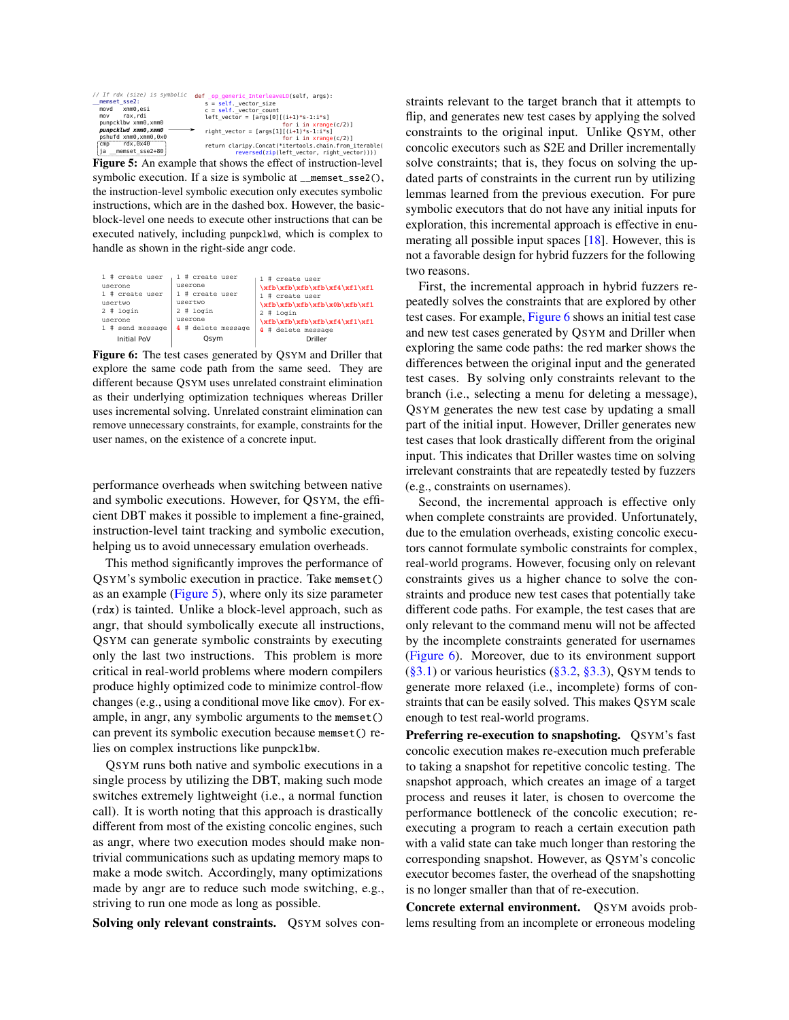<span id="page-5-0"></span>

| // If rdx (size) is symbolic<br>memset_sse2:<br>movd xmm0.esi<br>rax.rdi<br>mov<br>punpcklbw xmm0.xmm0<br>punpcklwd xmm0,xmm0<br>pshufd xmm0, xmm0, 0x0 | def op generic InterleaveLO(self, args):<br>$s = self. vector size$<br>$c = self. vector count$<br>left vector = $[arg[0]$ [(i+1)*s-1:i*s]<br>for $i$ in $x$ range $(c/2)$ ]<br>right_vector = $[args[1][(i+1)*s-1:i*s]$<br>for $i$ in $x$ range $(c/2)$ ] |
|---------------------------------------------------------------------------------------------------------------------------------------------------------|------------------------------------------------------------------------------------------------------------------------------------------------------------------------------------------------------------------------------------------------------------|
| rdx.0x40<br><b>C<sub>mp</sub></b><br>ja memset sse2+80                                                                                                  | return claripy.Concat(*itertools.chain.from iterable(                                                                                                                                                                                                      |
|                                                                                                                                                         | reversed(zip(left vector, right vector))))                                                                                                                                                                                                                 |

Figure 5: An example that shows the effect of instruction-level symbolic execution. If a size is symbolic at \_\_memset\_sse2(), the instruction-level symbolic execution only executes symbolic instructions, which are in the dashed box. However, the basicblock-level one needs to execute other instructions that can be executed natively, including punpcklwd, which is complex to handle as shown in the right-side angr code.

<span id="page-5-1"></span>

|                                       | 1 # create user    | # create user      | # create user                |
|---------------------------------------|--------------------|--------------------|------------------------------|
|                                       | userone            | userone            | \xfb\xfb\xfb\xfb\xf4\xf1\xf1 |
|                                       | 1 # create user    | # create user      | # create user                |
|                                       | usertwo            | usertwo            | \xfb\xfb\xfb\xfb\xfb\xfb\xf1 |
|                                       | $2$ # login        | $2$ # login        | $2$ # login                  |
|                                       | userone            | userone            | \xfb\xfb\xfb\xfb\xf4\xf1\xf1 |
|                                       | $1$ # send message | 4 # delete message | # delete message             |
| <b>Initial PoV</b><br>Driller<br>Osvm |                    |                    |                              |

Figure 6: The test cases generated by QSYM and Driller that explore the same code path from the same seed. They are different because QSYM uses unrelated constraint elimination as their underlying optimization techniques whereas Driller uses incremental solving. Unrelated constraint elimination can remove unnecessary constraints, for example, constraints for the user names, on the existence of a concrete input.

performance overheads when switching between native and symbolic executions. However, for QSYM, the efficient DBT makes it possible to implement a fine-grained, instruction-level taint tracking and symbolic execution, helping us to avoid unnecessary emulation overheads.

This method significantly improves the performance of QSYM's symbolic execution in practice. Take memset() as an example [\(Figure 5\)](#page-5-0), where only its size parameter (rdx) is tainted. Unlike a block-level approach, such as angr, that should symbolically execute all instructions, QSYM can generate symbolic constraints by executing only the last two instructions. This problem is more critical in real-world problems where modern compilers produce highly optimized code to minimize control-flow changes (e.g., using a conditional move like cmov). For example, in angr, any symbolic arguments to the memset() can prevent its symbolic execution because memset() relies on complex instructions like punpcklbw.

QSYM runs both native and symbolic executions in a single process by utilizing the DBT, making such mode switches extremely lightweight (i.e., a normal function call). It is worth noting that this approach is drastically different from most of the existing concolic engines, such as angr, where two execution modes should make nontrivial communications such as updating memory maps to make a mode switch. Accordingly, many optimizations made by angr are to reduce such mode switching, e.g., striving to run one mode as long as possible.

Solving only relevant constraints. QSYM solves con-

straints relevant to the target branch that it attempts to flip, and generates new test cases by applying the solved constraints to the original input. Unlike QSYM, other concolic executors such as S2E and Driller incrementally solve constraints; that is, they focus on solving the updated parts of constraints in the current run by utilizing lemmas learned from the previous execution. For pure symbolic executors that do not have any initial inputs for exploration, this incremental approach is effective in enumerating all possible input spaces [\[18\]](#page-15-11). However, this is not a favorable design for hybrid fuzzers for the following two reasons.

First, the incremental approach in hybrid fuzzers repeatedly solves the constraints that are explored by other test cases. For example, [Figure 6](#page-5-1) shows an initial test case and new test cases generated by QSYM and Driller when exploring the same code paths: the red marker shows the differences between the original input and the generated test cases. By solving only constraints relevant to the branch (i.e., selecting a menu for deleting a message), QSYM generates the new test case by updating a small part of the initial input. However, Driller generates new test cases that look drastically different from the original input. This indicates that Driller wastes time on solving irrelevant constraints that are repeatedly tested by fuzzers (e.g., constraints on usernames).

Second, the incremental approach is effective only when complete constraints are provided. Unfortunately, due to the emulation overheads, existing concolic executors cannot formulate symbolic constraints for complex, real-world programs. However, focusing only on relevant constraints gives us a higher chance to solve the constraints and produce new test cases that potentially take different code paths. For example, the test cases that are only relevant to the command menu will not be affected by the incomplete constraints generated for usernames [\(Figure 6\)](#page-5-1). Moreover, due to its environment support  $(\S 3.1)$  or various heuristics  $(\S 3.2, \S 3.3)$ , QSYM tends to generate more relaxed (i.e., incomplete) forms of constraints that can be easily solved. This makes QSYM scale enough to test real-world programs.

Preferring re-execution to snapshoting. QSYM's fast concolic execution makes re-execution much preferable to taking a snapshot for repetitive concolic testing. The snapshot approach, which creates an image of a target process and reuses it later, is chosen to overcome the performance bottleneck of the concolic execution; reexecuting a program to reach a certain execution path with a valid state can take much longer than restoring the corresponding snapshot. However, as QSYM's concolic executor becomes faster, the overhead of the snapshotting is no longer smaller than that of re-execution.

Concrete external environment. QSYM avoids problems resulting from an incomplete or erroneous modeling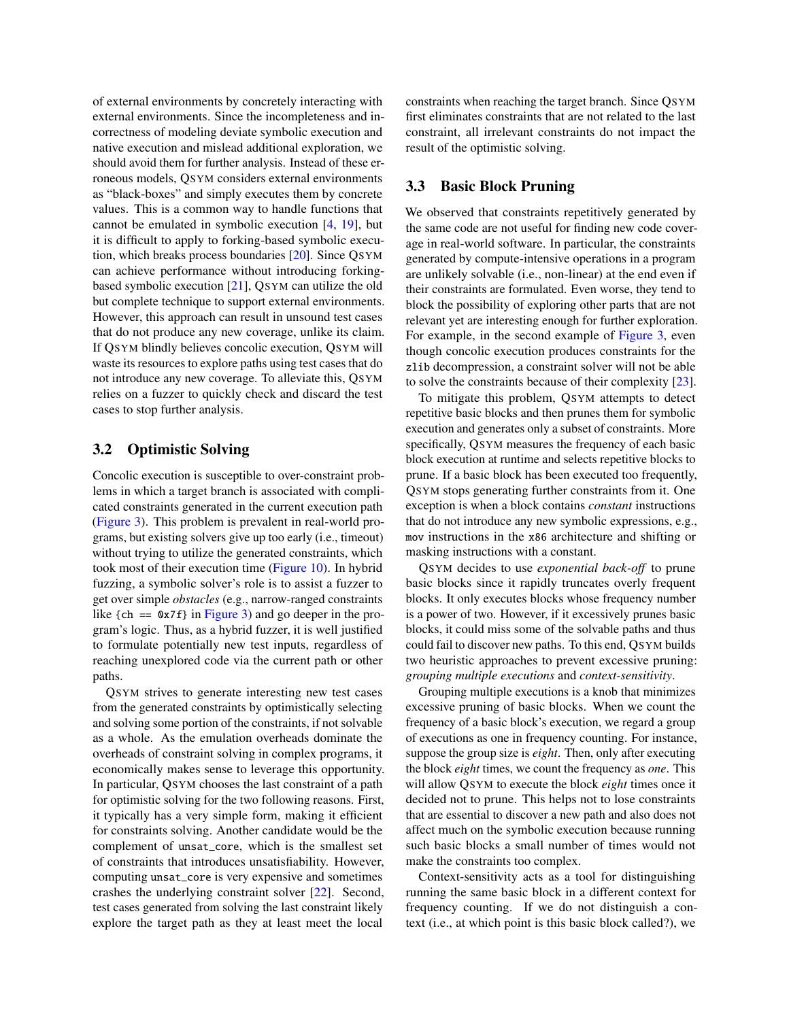of external environments by concretely interacting with external environments. Since the incompleteness and incorrectness of modeling deviate symbolic execution and native execution and mislead additional exploration, we should avoid them for further analysis. Instead of these erroneous models, QSYM considers external environments as "black-boxes" and simply executes them by concrete values. This is a common way to handle functions that cannot be emulated in symbolic execution [\[4,](#page-14-2) [19\]](#page-15-12), but it is difficult to apply to forking-based symbolic execution, which breaks process boundaries [\[20\]](#page-15-13). Since QSYM can achieve performance without introducing forkingbased symbolic execution [\[21\]](#page-15-14), QSYM can utilize the old but complete technique to support external environments. However, this approach can result in unsound test cases that do not produce any new coverage, unlike its claim. If QSYM blindly believes concolic execution, QSYM will waste its resources to explore paths using test cases that do not introduce any new coverage. To alleviate this, QSYM relies on a fuzzer to quickly check and discard the test cases to stop further analysis.

## <span id="page-6-0"></span>3.2 Optimistic Solving

Concolic execution is susceptible to over-constraint problems in which a target branch is associated with complicated constraints generated in the current execution path [\(Figure 3\)](#page-4-2). This problem is prevalent in real-world programs, but existing solvers give up too early (i.e., timeout) without trying to utilize the generated constraints, which took most of their execution time [\(Figure 10\)](#page-10-0). In hybrid fuzzing, a symbolic solver's role is to assist a fuzzer to get over simple *obstacles* (e.g., narrow-ranged constraints like  ${ch} == 0x7f$  in [Figure 3\)](#page-4-2) and go deeper in the program's logic. Thus, as a hybrid fuzzer, it is well justified to formulate potentially new test inputs, regardless of reaching unexplored code via the current path or other paths.

QSYM strives to generate interesting new test cases from the generated constraints by optimistically selecting and solving some portion of the constraints, if not solvable as a whole. As the emulation overheads dominate the overheads of constraint solving in complex programs, it economically makes sense to leverage this opportunity. In particular, QSYM chooses the last constraint of a path for optimistic solving for the two following reasons. First, it typically has a very simple form, making it efficient for constraints solving. Another candidate would be the complement of unsat\_core, which is the smallest set of constraints that introduces unsatisfiability. However, computing unsat\_core is very expensive and sometimes crashes the underlying constraint solver [\[22\]](#page-15-15). Second, test cases generated from solving the last constraint likely explore the target path as they at least meet the local

constraints when reaching the target branch. Since QSYM first eliminates constraints that are not related to the last constraint, all irrelevant constraints do not impact the result of the optimistic solving.

## <span id="page-6-1"></span>3.3 Basic Block Pruning

We observed that constraints repetitively generated by the same code are not useful for finding new code coverage in real-world software. In particular, the constraints generated by compute-intensive operations in a program are unlikely solvable (i.e., non-linear) at the end even if their constraints are formulated. Even worse, they tend to block the possibility of exploring other parts that are not relevant yet are interesting enough for further exploration. For example, in the second example of [Figure 3,](#page-4-2) even though concolic execution produces constraints for the zlib decompression, a constraint solver will not be able to solve the constraints because of their complexity [\[23\]](#page-15-16).

To mitigate this problem, QSYM attempts to detect repetitive basic blocks and then prunes them for symbolic execution and generates only a subset of constraints. More specifically, QSYM measures the frequency of each basic block execution at runtime and selects repetitive blocks to prune. If a basic block has been executed too frequently, QSYM stops generating further constraints from it. One exception is when a block contains *constant* instructions that do not introduce any new symbolic expressions, e.g., mov instructions in the x86 architecture and shifting or masking instructions with a constant.

QSYM decides to use *exponential back-off* to prune basic blocks since it rapidly truncates overly frequent blocks. It only executes blocks whose frequency number is a power of two. However, if it excessively prunes basic blocks, it could miss some of the solvable paths and thus could fail to discover new paths. To this end, QSYM builds two heuristic approaches to prevent excessive pruning: *grouping multiple executions* and *context-sensitivity*.

Grouping multiple executions is a knob that minimizes excessive pruning of basic blocks. When we count the frequency of a basic block's execution, we regard a group of executions as one in frequency counting. For instance, suppose the group size is *eight*. Then, only after executing the block *eight* times, we count the frequency as *one*. This will allow QSYM to execute the block *eight* times once it decided not to prune. This helps not to lose constraints that are essential to discover a new path and also does not affect much on the symbolic execution because running such basic blocks a small number of times would not make the constraints too complex.

Context-sensitivity acts as a tool for distinguishing running the same basic block in a different context for frequency counting. If we do not distinguish a context (i.e., at which point is this basic block called?), we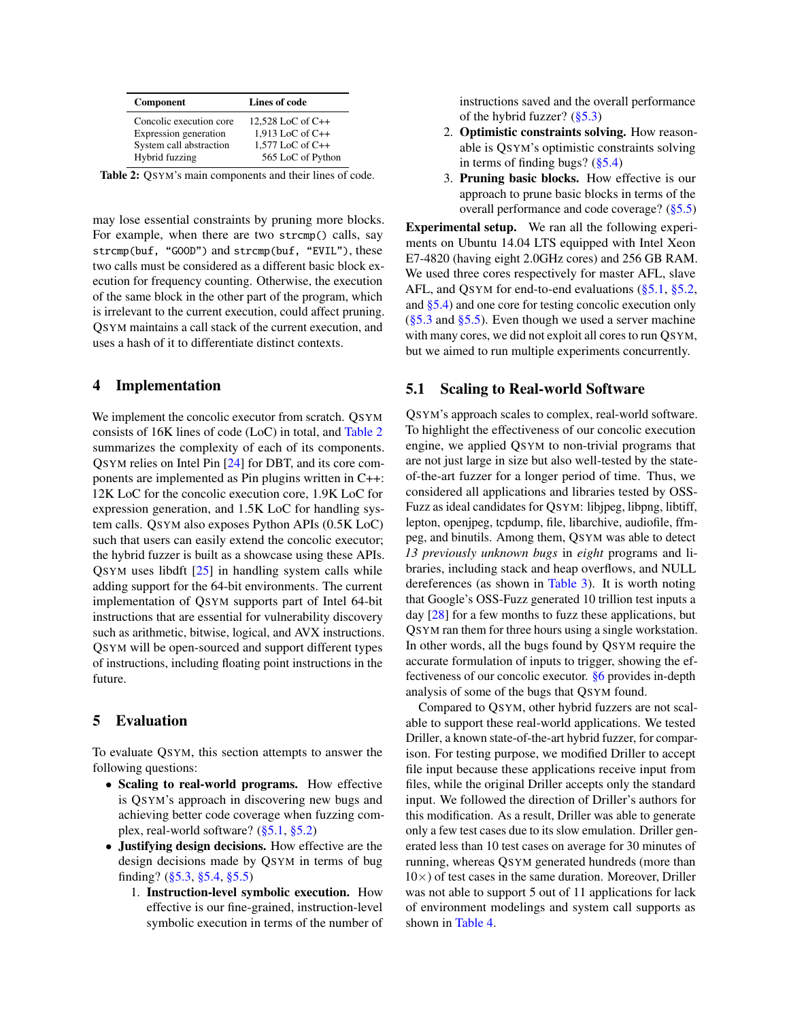<span id="page-7-2"></span>

| Component               | Lines of code       |  |
|-------------------------|---------------------|--|
| Concolic execution core | 12,528 LoC of $C++$ |  |
| Expression generation   | 1,913 LoC of C++    |  |
| System call abstraction | $1.577$ LoC of C++  |  |
| Hybrid fuzzing          | 565 LoC of Python   |  |

Table 2: QSYM's main components and their lines of code.

may lose essential constraints by pruning more blocks. For example, when there are two strcmp() calls, say strcmp(buf, "GOOD") and strcmp(buf, "EVIL"), these two calls must be considered as a different basic block execution for frequency counting. Otherwise, the execution of the same block in the other part of the program, which is irrelevant to the current execution, could affect pruning. QSYM maintains a call stack of the current execution, and uses a hash of it to differentiate distinct contexts.

## <span id="page-7-0"></span>4 Implementation

We implement the concolic executor from scratch. QSYM consists of 16K lines of code (LoC) in total, and [Table 2](#page-7-2) summarizes the complexity of each of its components. QSYM relies on Intel Pin [\[24\]](#page-15-17) for DBT, and its core components are implemented as Pin plugins written in C++: 12K LoC for the concolic execution core, 1.9K LoC for expression generation, and 1.5K LoC for handling system calls. QSYM also exposes Python APIs (0.5K LoC) such that users can easily extend the concolic executor; the hybrid fuzzer is built as a showcase using these APIs. QSYM uses libdft [\[25\]](#page-15-18) in handling system calls while adding support for the 64-bit environments. The current implementation of QSYM supports part of Intel 64-bit instructions that are essential for vulnerability discovery such as arithmetic, bitwise, logical, and AVX instructions. QSYM will be open-sourced and support different types of instructions, including floating point instructions in the future.

# <span id="page-7-1"></span>5 Evaluation

To evaluate QSYM, this section attempts to answer the following questions:

- Scaling to real-world programs. How effective is QSYM's approach in discovering new bugs and achieving better code coverage when fuzzing complex, real-world software? [\(§5.1,](#page-7-3) [§5.2\)](#page-8-1)
- Justifying design decisions. How effective are the design decisions made by QSYM in terms of bug finding? [\(§5.3,](#page-9-0) [§5.4,](#page-11-0) [§5.5\)](#page-12-0)
	- 1. Instruction-level symbolic execution. How effective is our fine-grained, instruction-level symbolic execution in terms of the number of

instructions saved and the overall performance of the hybrid fuzzer?  $(\frac{85.3}{3})$ 

- 2. Optimistic constraints solving. How reasonable is QSYM's optimistic constraints solving in terms of finding bugs? [\(§5.4\)](#page-11-0)
- 3. Pruning basic blocks. How effective is our approach to prune basic blocks in terms of the overall performance and code coverage? [\(§5.5\)](#page-12-0)

Experimental setup. We ran all the following experiments on Ubuntu 14.04 LTS equipped with Intel Xeon E7-4820 (having eight 2.0GHz cores) and 256 GB RAM. We used three cores respectively for master AFL, slave AFL, and QSYM for end-to-end evaluations [\(§5.1,](#page-7-3) [§5.2,](#page-8-1) and [§5.4\)](#page-11-0) and one core for testing concolic execution only  $(\S 5.3$  and  $\S 5.5)$ . Even though we used a server machine with many cores, we did not exploit all cores to run QSYM, but we aimed to run multiple experiments concurrently.

## <span id="page-7-3"></span>5.1 Scaling to Real-world Software

QSYM's approach scales to complex, real-world software. To highlight the effectiveness of our concolic execution engine, we applied QSYM to non-trivial programs that are not just large in size but also well-tested by the stateof-the-art fuzzer for a longer period of time. Thus, we considered all applications and libraries tested by OSS-Fuzz as ideal candidates for QSYM: libjpeg, libpng, libtiff, lepton, openjpeg, tcpdump, file, libarchive, audiofile, ffmpeg, and binutils. Among them, QSYM was able to detect *13 previously unknown bugs* in *eight* programs and libraries, including stack and heap overflows, and NULL dereferences (as shown in [Table 3\)](#page-8-2). It is worth noting that Google's OSS-Fuzz generated 10 trillion test inputs a day [\[28\]](#page-16-0) for a few months to fuzz these applications, but QSYM ran them for three hours using a single workstation. In other words, all the bugs found by QSYM require the accurate formulation of inputs to trigger, showing the effectiveness of our concolic executor. [§6](#page-12-1) provides in-depth analysis of some of the bugs that QSYM found.

Compared to QSYM, other hybrid fuzzers are not scalable to support these real-world applications. We tested Driller, a known state-of-the-art hybrid fuzzer, for comparison. For testing purpose, we modified Driller to accept file input because these applications receive input from files, while the original Driller accepts only the standard input. We followed the direction of Driller's authors for this modification. As a result, Driller was able to generate only a few test cases due to its slow emulation. Driller generated less than 10 test cases on average for 30 minutes of running, whereas QSYM generated hundreds (more than  $10\times$ ) of test cases in the same duration. Moreover, Driller was not able to support 5 out of 11 applications for lack of environment modelings and system call supports as shown in [Table 4.](#page-8-0)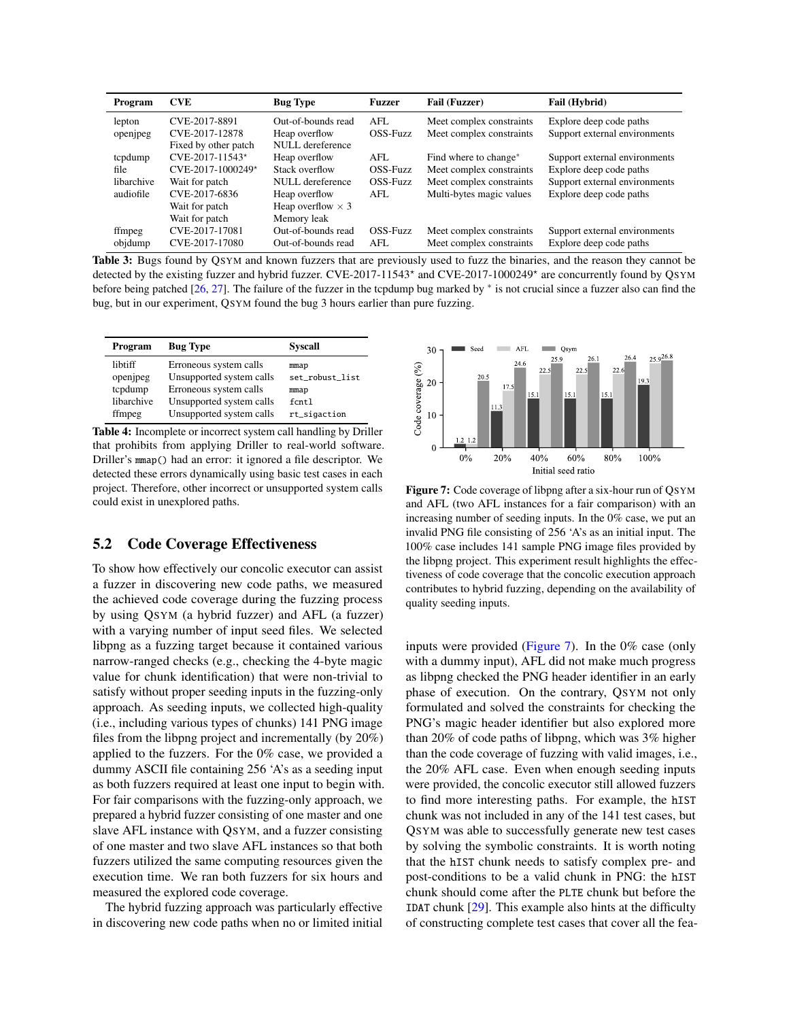<span id="page-8-2"></span>

| Program    | <b>CVE</b>           | <b>Bug Type</b>          | <b>Fuzzer</b> | <b>Fail (Fuzzer)</b>              | Fail (Hybrid)                 |
|------------|----------------------|--------------------------|---------------|-----------------------------------|-------------------------------|
| lepton     | CVE-2017-8891        | Out-of-bounds read       | AFL           | Meet complex constraints          | Explore deep code paths       |
| openjpeg   | CVE-2017-12878       | Heap overflow            | OSS-Fuzz      | Meet complex constraints          | Support external environments |
|            | Fixed by other patch | NULL dereference         |               |                                   |                               |
| tcpdump    | $CVE-2017-11543*$    | Heap overflow            | AFL           | Find where to change <sup>*</sup> | Support external environments |
| file       | CVE-2017-1000249*    | Stack overflow           | OSS-Fuzz      | Meet complex constraints          | Explore deep code paths       |
| libarchive | Wait for patch       | NULL dereference         | OSS-Fuzz      | Meet complex constraints          | Support external environments |
| audiofile  | CVE-2017-6836        | Heap overflow            | AFL.          | Multi-bytes magic values          | Explore deep code paths       |
|            | Wait for patch       | Heap overflow $\times$ 3 |               |                                   |                               |
|            | Wait for patch       | Memory leak              |               |                                   |                               |
| ffmpeg     | CVE-2017-17081       | Out-of-bounds read       | OSS-Fuzz      | Meet complex constraints          | Support external environments |
| objdump    | CVE-2017-17080       | Out-of-bounds read       | AFL.          | Meet complex constraints          | Explore deep code paths       |

Table 3: Bugs found by QSYM and known fuzzers that are previously used to fuzz the binaries, and the reason they cannot be detected by the existing fuzzer and hybrid fuzzer. CVE-2017-11543<sup>\*</sup> and CVE-2017-1000249<sup>\*</sup> are concurrently found by QSYM before being patched [\[26,](#page-15-19) [27\]](#page-16-1). The failure of the fuzzer in the tcpdump bug marked by \* is not crucial since a fuzzer also can find the bug, but in our experiment, QSYM found the bug 3 hours earlier than pure fuzzing.

<span id="page-8-0"></span>

| Program    | <b>Bug Type</b>          | <b>Syscall</b>  |
|------------|--------------------------|-----------------|
| libtiff    | Erroneous system calls   | mmap            |
| openjpeg   | Unsupported system calls | set_robust_list |
| tcpdump    | Erroneous system calls   | mmap            |
| libarchive | Unsupported system calls | $f$ $cnt1$      |
| ffmpeg     | Unsupported system calls | rt_sigaction    |

Table 4: Incomplete or incorrect system call handling by Driller that prohibits from applying Driller to real-world software. Driller's mmap() had an error: it ignored a file descriptor. We detected these errors dynamically using basic test cases in each project. Therefore, other incorrect or unsupported system calls could exist in unexplored paths.

## <span id="page-8-1"></span>5.2 Code Coverage Effectiveness

To show how effectively our concolic executor can assist a fuzzer in discovering new code paths, we measured the achieved code coverage during the fuzzing process by using QSYM (a hybrid fuzzer) and AFL (a fuzzer) with a varying number of input seed files. We selected libpng as a fuzzing target because it contained various narrow-ranged checks (e.g., checking the 4-byte magic value for chunk identification) that were non-trivial to satisfy without proper seeding inputs in the fuzzing-only approach. As seeding inputs, we collected high-quality (i.e., including various types of chunks) 141 PNG image files from the libpng project and incrementally (by 20%) applied to the fuzzers. For the 0% case, we provided a dummy ASCII file containing 256 'A's as a seeding input as both fuzzers required at least one input to begin with. For fair comparisons with the fuzzing-only approach, we prepared a hybrid fuzzer consisting of one master and one slave AFL instance with QSYM, and a fuzzer consisting of one master and two slave AFL instances so that both fuzzers utilized the same computing resources given the execution time. We ran both fuzzers for six hours and measured the explored code coverage.

The hybrid fuzzing approach was particularly effective in discovering new code paths when no or limited initial

<span id="page-8-3"></span>

Figure 7: Code coverage of libpng after a six-hour run of QSYM and AFL (two AFL instances for a fair comparison) with an increasing number of seeding inputs. In the 0% case, we put an invalid PNG file consisting of 256 'A's as an initial input. The 100% case includes 141 sample PNG image files provided by the libpng project. This experiment result highlights the effectiveness of code coverage that the concolic execution approach contributes to hybrid fuzzing, depending on the availability of quality seeding inputs.

inputs were provided [\(Figure 7\)](#page-8-3). In the 0% case (only with a dummy input), AFL did not make much progress as libpng checked the PNG header identifier in an early phase of execution. On the contrary, QSYM not only formulated and solved the constraints for checking the PNG's magic header identifier but also explored more than 20% of code paths of libpng, which was 3% higher than the code coverage of fuzzing with valid images, i.e., the 20% AFL case. Even when enough seeding inputs were provided, the concolic executor still allowed fuzzers to find more interesting paths. For example, the hIST chunk was not included in any of the 141 test cases, but QSYM was able to successfully generate new test cases by solving the symbolic constraints. It is worth noting that the hIST chunk needs to satisfy complex pre- and post-conditions to be a valid chunk in PNG: the hIST chunk should come after the PLTE chunk but before the IDAT chunk  $[29]$ . This example also hints at the difficulty of constructing complete test cases that cover all the fea-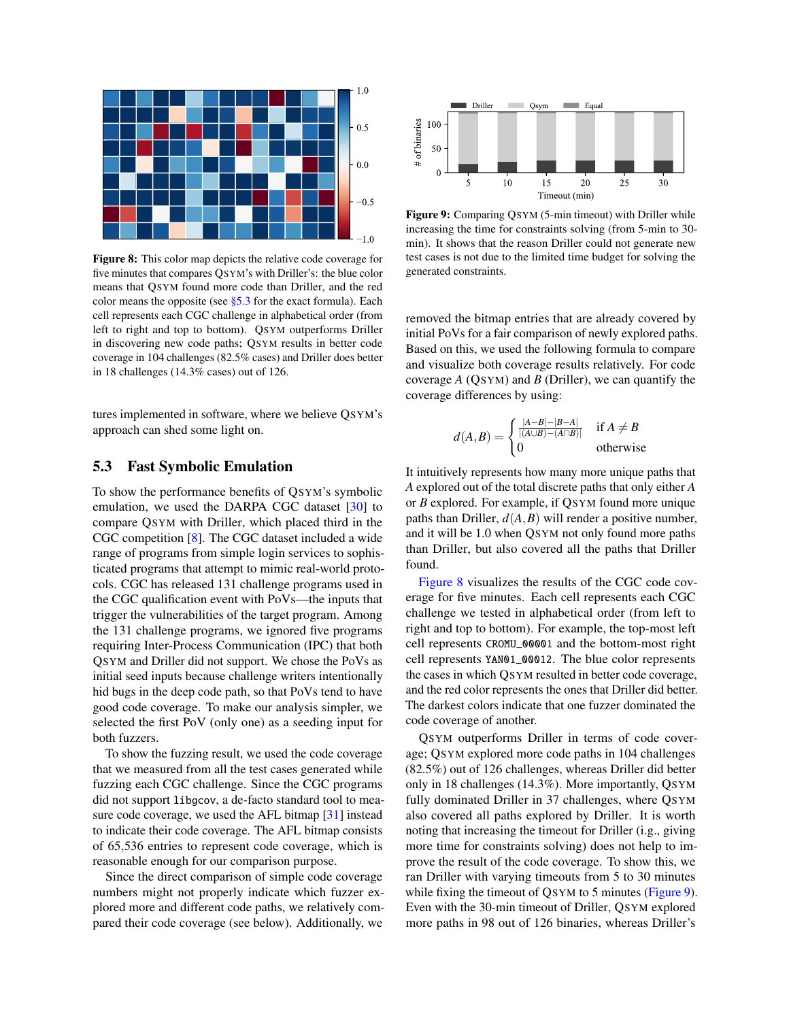<span id="page-9-1"></span>

Figure 8: This color map depicts the relative code coverage for five minutes that compares QSYM's with Driller's: the blue color means that QSYM found more code than Driller, and the red color means the opposite (see  $\S$ 5.3 for the exact formula). Each cell represents each CGC challenge in alphabetical order (from left to right and top to bottom). QSYM outperforms Driller in discovering new code paths; QSYM results in better code coverage in 104 challenges (82.5% cases) and Driller does better in 18 challenges (14.3% cases) out of 126.

tures implemented in software, where we believe QSYM's approach can shed some light on.

#### <span id="page-9-0"></span>5.3 Fast Symbolic Emulation

To show the performance benefits of QSYM's symbolic emulation, we used the DARPA CGC dataset [\[30\]](#page-16-3) to compare QSYM with Driller, which placed third in the CGC competition [\[8\]](#page-15-1). The CGC dataset included a wide range of programs from simple login services to sophisticated programs that attempt to mimic real-world protocols. CGC has released 131 challenge programs used in the CGC qualification event with PoVs—the inputs that trigger the vulnerabilities of the target program. Among the 131 challenge programs, we ignored five programs requiring Inter-Process Communication (IPC) that both QSYM and Driller did not support. We chose the PoVs as initial seed inputs because challenge writers intentionally hid bugs in the deep code path, so that PoVs tend to have good code coverage. To make our analysis simpler, we selected the first PoV (only one) as a seeding input for both fuzzers.

To show the fuzzing result, we used the code coverage that we measured from all the test cases generated while fuzzing each CGC challenge. Since the CGC programs did not support libgcov, a de-facto standard tool to measure code coverage, we used the AFL bitmap [\[31\]](#page-16-4) instead to indicate their code coverage. The AFL bitmap consists of 65,536 entries to represent code coverage, which is reasonable enough for our comparison purpose.

Since the direct comparison of simple code coverage numbers might not properly indicate which fuzzer explored more and different code paths, we relatively compared their code coverage (see below). Additionally, we

<span id="page-9-2"></span>

Figure 9: Comparing QSYM (5-min timeout) with Driller while increasing the time for constraints solving (from 5-min to 30 min). It shows that the reason Driller could not generate new test cases is not due to the limited time budget for solving the generated constraints.

removed the bitmap entries that are already covered by initial PoVs for a fair comparison of newly explored paths. Based on this, we used the following formula to compare and visualize both coverage results relatively. For code coverage *A* (QSYM) and *B* (Driller), we can quantify the coverage differences by using:

$$
d(A,B) = \begin{cases} \frac{|A-B|-|B-A|}{|(A\cup B)-(A\cap B)|} & \text{if } A \neq B\\ 0 & \text{otherwise} \end{cases}
$$

It intuitively represents how many more unique paths that *A* explored out of the total discrete paths that only either *A* or *B* explored. For example, if QSYM found more unique paths than Driller,  $d(A, B)$  will render a positive number, and it will be 1.0 when QSYM not only found more paths than Driller, but also covered all the paths that Driller found.

[Figure 8](#page-9-1) visualizes the results of the CGC code coverage for five minutes. Each cell represents each CGC challenge we tested in alphabetical order (from left to right and top to bottom). For example, the top-most left cell represents CROMU\_00001 and the bottom-most right cell represents YAN01\_00012. The blue color represents the cases in which QSYM resulted in better code coverage, and the red color represents the ones that Driller did better. The darkest colors indicate that one fuzzer dominated the code coverage of another.

QSYM outperforms Driller in terms of code coverage; QSYM explored more code paths in 104 challenges (82.5%) out of 126 challenges, whereas Driller did better only in 18 challenges (14.3%). More importantly, QSYM fully dominated Driller in 37 challenges, where QSYM also covered all paths explored by Driller. It is worth noting that increasing the timeout for Driller (i.g., giving more time for constraints solving) does not help to improve the result of the code coverage. To show this, we ran Driller with varying timeouts from 5 to 30 minutes while fixing the timeout of QSYM to 5 minutes [\(Figure 9\)](#page-9-2). Even with the 30-min timeout of Driller, QSYM explored more paths in 98 out of 126 binaries, whereas Driller's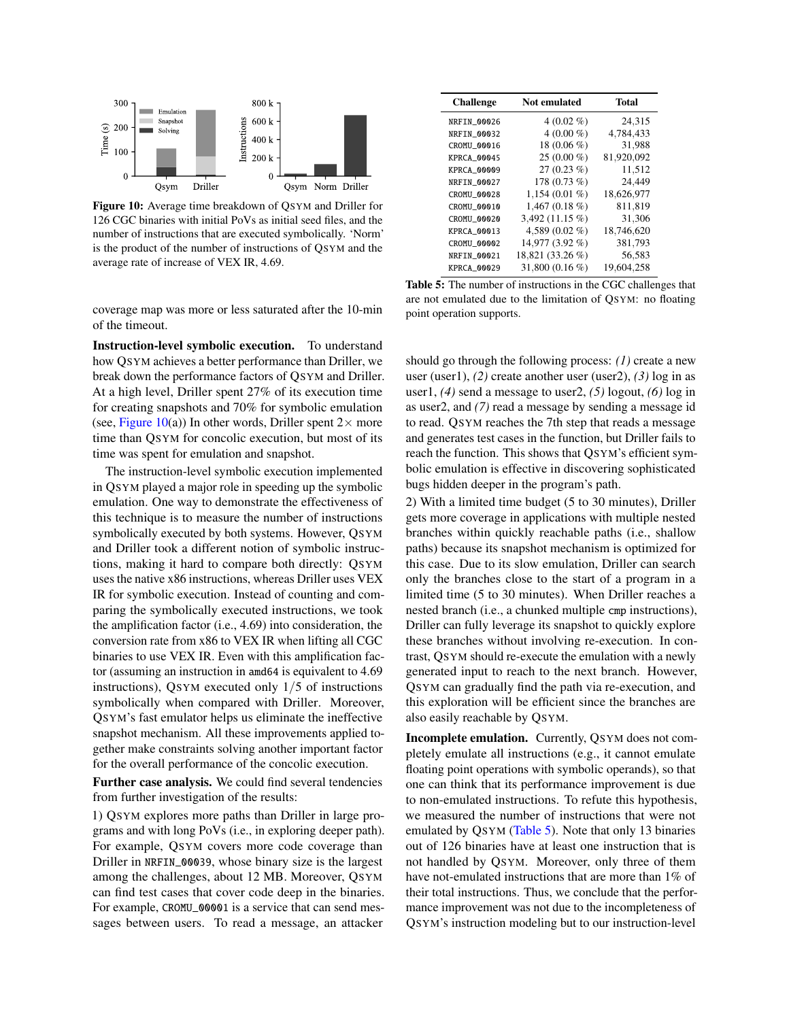<span id="page-10-0"></span>

Figure 10: Average time breakdown of QSYM and Driller for 126 CGC binaries with initial PoVs as initial seed files, and the number of instructions that are executed symbolically. 'Norm' is the product of the number of instructions of QSYM and the average rate of increase of VEX IR, 4.69.

coverage map was more or less saturated after the 10-min of the timeout.

Instruction-level symbolic execution. To understand how QSYM achieves a better performance than Driller, we break down the performance factors of QSYM and Driller. At a high level, Driller spent 27% of its execution time for creating snapshots and 70% for symbolic emulation (see, [Figure 10\(](#page-10-0)a)) In other words, Driller spent  $2 \times$  more time than QSYM for concolic execution, but most of its time was spent for emulation and snapshot.

The instruction-level symbolic execution implemented in QSYM played a major role in speeding up the symbolic emulation. One way to demonstrate the effectiveness of this technique is to measure the number of instructions symbolically executed by both systems. However, QSYM and Driller took a different notion of symbolic instructions, making it hard to compare both directly: QSYM uses the native x86 instructions, whereas Driller uses VEX IR for symbolic execution. Instead of counting and comparing the symbolically executed instructions, we took the amplification factor (i.e., 4.69) into consideration, the conversion rate from x86 to VEX IR when lifting all CGC binaries to use VEX IR. Even with this amplification factor (assuming an instruction in amd64 is equivalent to 4.69 instructions), QSYM executed only 1/5 of instructions symbolically when compared with Driller. Moreover, QSYM's fast emulator helps us eliminate the ineffective snapshot mechanism. All these improvements applied together make constraints solving another important factor for the overall performance of the concolic execution.

Further case analysis. We could find several tendencies from further investigation of the results:

1) QSYM explores more paths than Driller in large programs and with long PoVs (i.e., in exploring deeper path). For example, QSYM covers more code coverage than Driller in NRFIN\_00039, whose binary size is the largest among the challenges, about 12 MB. Moreover, QSYM can find test cases that cover code deep in the binaries. For example, CROMU\_00001 is a service that can send messages between users. To read a message, an attacker

<span id="page-10-1"></span>

| <b>Challenge</b>   | <b>Not emulated</b> | Total      |
|--------------------|---------------------|------------|
| NRFIN 00026        | $4(0.02\% )$        | 24,315     |
| NRFIN_00032        | $4(0.00\%)$         | 4,784,433  |
| CROMU_00016        | 18 (0.06 %)         | 31,988     |
| KPRCA 00045        | $25(0.00\%)$        | 81,920,092 |
| KPRCA 00009        | $27(0.23\%)$        | 11,512     |
| NRFIN_00027        | 178 (0.73 %)        | 24,449     |
| <b>CROMU 00028</b> | $1,154(0.01\%)$     | 18,626,977 |
| CROMU_00010        | $1,467(0.18\%)$     | 811,819    |
| <b>CROMU 00020</b> | 3,492 (11.15 %)     | 31,306     |
| KPRCA_00013        | 4.589 $(0.02\%$     | 18,746,620 |
| <b>CROMU 00002</b> | 14,977 (3.92 %)     | 381,793    |
| NRFIN_00021        | 18,821 (33.26 %)    | 56,583     |
| <b>KPRCA 00029</b> | 31,800 (0.16 %)     | 19.604.258 |

Table 5: The number of instructions in the CGC challenges that are not emulated due to the limitation of QSYM: no floating point operation supports.

should go through the following process: *(1)* create a new user (user1), *(2)* create another user (user2), *(3)* log in as user1, *(4)* send a message to user2, *(5)* logout, *(6)* log in as user2, and *(7)* read a message by sending a message id to read. QSYM reaches the 7th step that reads a message and generates test cases in the function, but Driller fails to reach the function. This shows that QSYM's efficient symbolic emulation is effective in discovering sophisticated bugs hidden deeper in the program's path.

2) With a limited time budget (5 to 30 minutes), Driller gets more coverage in applications with multiple nested branches within quickly reachable paths (i.e., shallow paths) because its snapshot mechanism is optimized for this case. Due to its slow emulation, Driller can search only the branches close to the start of a program in a limited time (5 to 30 minutes). When Driller reaches a nested branch (i.e., a chunked multiple cmp instructions), Driller can fully leverage its snapshot to quickly explore these branches without involving re-execution. In contrast, QSYM should re-execute the emulation with a newly generated input to reach to the next branch. However, QSYM can gradually find the path via re-execution, and this exploration will be efficient since the branches are also easily reachable by QSYM.

Incomplete emulation. Currently, QSYM does not completely emulate all instructions (e.g., it cannot emulate floating point operations with symbolic operands), so that one can think that its performance improvement is due to non-emulated instructions. To refute this hypothesis, we measured the number of instructions that were not emulated by QSYM [\(Table 5\)](#page-10-1). Note that only 13 binaries out of 126 binaries have at least one instruction that is not handled by QSYM. Moreover, only three of them have not-emulated instructions that are more than 1% of their total instructions. Thus, we conclude that the performance improvement was not due to the incompleteness of QSYM's instruction modeling but to our instruction-level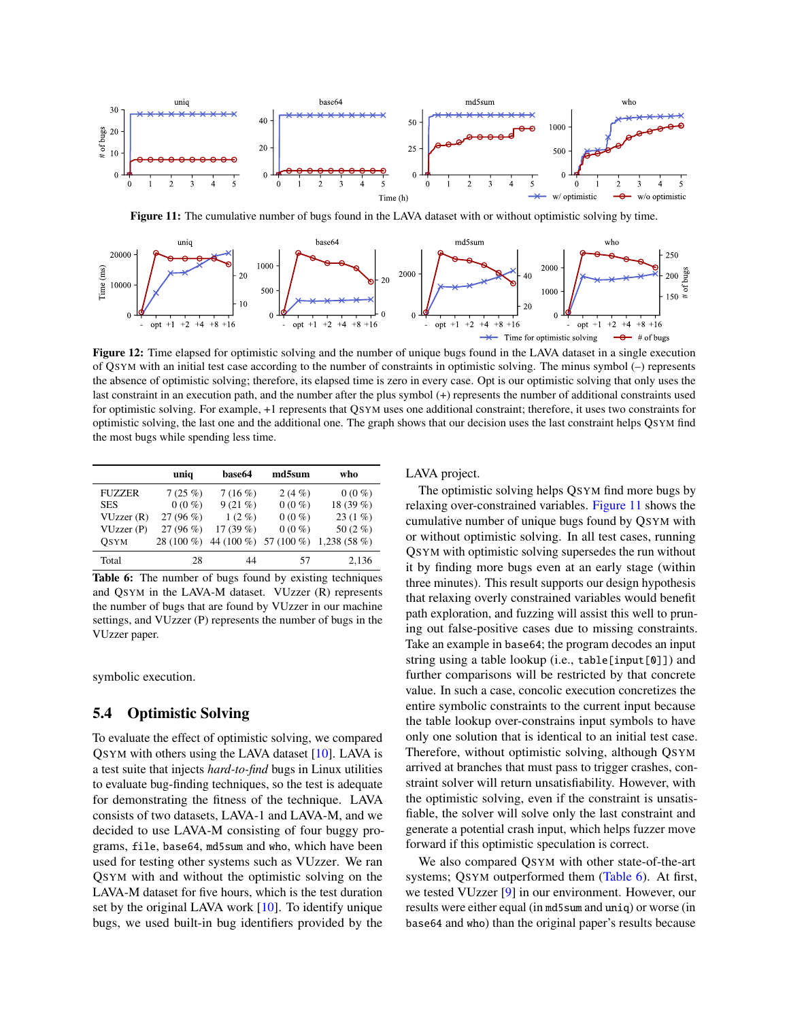<span id="page-11-1"></span>

Figure 11: The cumulative number of bugs found in the LAVA dataset with or without optimistic solving by time.

<span id="page-11-3"></span>

Figure 12: Time elapsed for optimistic solving and the number of unique bugs found in the LAVA dataset in a single execution of QSYM with an initial test case according to the number of constraints in optimistic solving. The minus symbol (–) represents the absence of optimistic solving; therefore, its elapsed time is zero in every case. Opt is our optimistic solving that only uses the last constraint in an execution path, and the number after the plus symbol (+) represents the number of additional constraints used for optimistic solving. For example, +1 represents that QSYM uses one additional constraint; therefore, it uses two constraints for optimistic solving, the last one and the additional one. The graph shows that our decision uses the last constraint helps QSYM find the most bugs while spending less time.

<span id="page-11-2"></span>

|               | unia        | base64      | md5sum                | who            |
|---------------|-------------|-------------|-----------------------|----------------|
| <b>FUZZER</b> | 7(25%)      | 7(16%)      | 2(4%)                 | $0(0\%)$       |
| <b>SES</b>    | $0(0\%)$    | $9(21\%)$   | $0(0\%)$              | 18 (39 %)      |
| VUzzer(R)     | $27(96\%)$  | $1(2\%)$    | $0(0\%)$              | $23(1\%)$      |
| VUzzer(P)     | $27(96\%)$  | 17 $(39\%)$ | $0(0\%)$              | 50 $(2\%$      |
| OSYM          | $28(100\%)$ |             | 44 (100 %) 57 (100 %) | 1,238 $(58\%)$ |
| Total         | 28          | 44          | 57                    | 2,136          |

Table 6: The number of bugs found by existing techniques and QSYM in the LAVA-M dataset. VUzzer (R) represents the number of bugs that are found by VUzzer in our machine settings, and VUzzer (P) represents the number of bugs in the VUzzer paper.

symbolic execution.

### <span id="page-11-0"></span>5.4 Optimistic Solving

To evaluate the effect of optimistic solving, we compared QSYM with others using the LAVA dataset [\[10\]](#page-15-3). LAVA is a test suite that injects *hard-to-find* bugs in Linux utilities to evaluate bug-finding techniques, so the test is adequate for demonstrating the fitness of the technique. LAVA consists of two datasets, LAVA-1 and LAVA-M, and we decided to use LAVA-M consisting of four buggy programs, file, base64, md5sum and who, which have been used for testing other systems such as VUzzer. We ran QSYM with and without the optimistic solving on the LAVA-M dataset for five hours, which is the test duration set by the original LAVA work [\[10\]](#page-15-3). To identify unique bugs, we used built-in bug identifiers provided by the

LAVA project.

The optimistic solving helps QSYM find more bugs by relaxing over-constrained variables. [Figure 11](#page-11-1) shows the cumulative number of unique bugs found by QSYM with or without optimistic solving. In all test cases, running QSYM with optimistic solving supersedes the run without it by finding more bugs even at an early stage (within three minutes). This result supports our design hypothesis that relaxing overly constrained variables would benefit path exploration, and fuzzing will assist this well to pruning out false-positive cases due to missing constraints. Take an example in base64; the program decodes an input string using a table lookup (i.e., table[input[0]]) and further comparisons will be restricted by that concrete value. In such a case, concolic execution concretizes the entire symbolic constraints to the current input because the table lookup over-constrains input symbols to have only one solution that is identical to an initial test case. Therefore, without optimistic solving, although QSYM arrived at branches that must pass to trigger crashes, constraint solver will return unsatisfiability. However, with the optimistic solving, even if the constraint is unsatisfiable, the solver will solve only the last constraint and generate a potential crash input, which helps fuzzer move forward if this optimistic speculation is correct.

We also compared QSYM with other state-of-the-art systems; QSYM outperformed them [\(Table 6\)](#page-11-2). At first, we tested VUzzer [\[9\]](#page-15-2) in our environment. However, our results were either equal (in md5sum and uniq) or worse (in base64 and who) than the original paper's results because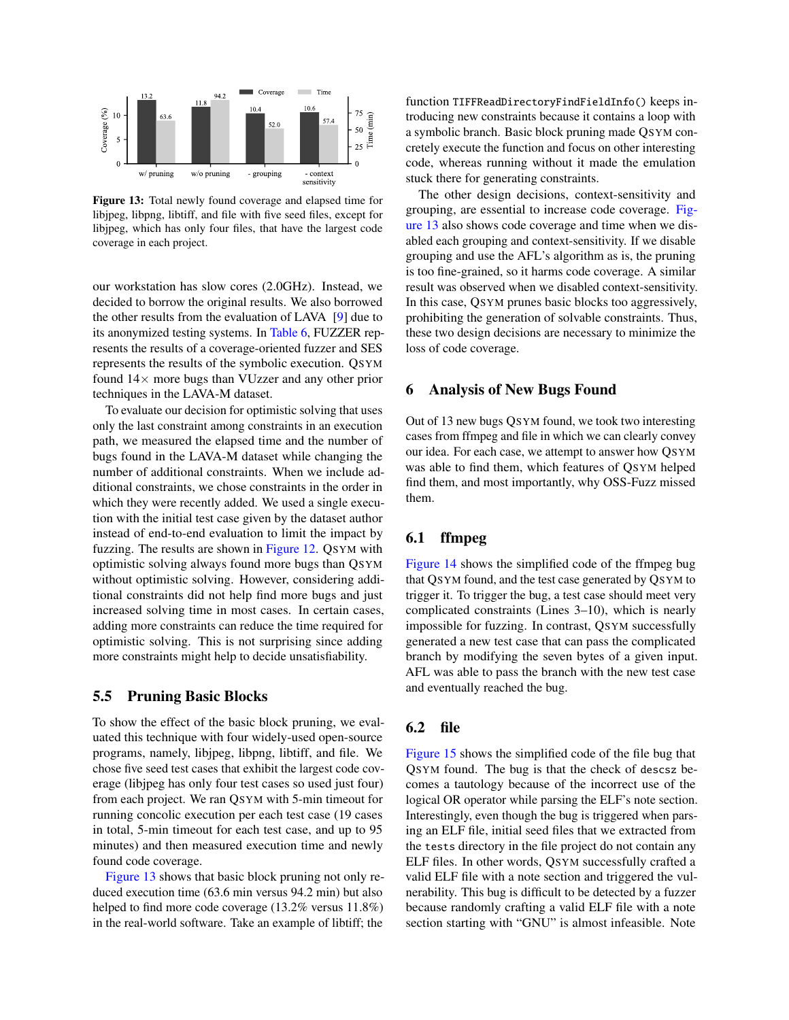<span id="page-12-2"></span>

Figure 13: Total newly found coverage and elapsed time for libjpeg, libpng, libtiff, and file with five seed files, except for libjpeg, which has only four files, that have the largest code coverage in each project.

our workstation has slow cores (2.0GHz). Instead, we decided to borrow the original results. We also borrowed the other results from the evaluation of LAVA [\[9\]](#page-15-2) due to its anonymized testing systems. In [Table 6,](#page-11-2) FUZZER represents the results of a coverage-oriented fuzzer and SES represents the results of the symbolic execution. QSYM found  $14\times$  more bugs than VUzzer and any other prior techniques in the LAVA-M dataset.

To evaluate our decision for optimistic solving that uses only the last constraint among constraints in an execution path, we measured the elapsed time and the number of bugs found in the LAVA-M dataset while changing the number of additional constraints. When we include additional constraints, we chose constraints in the order in which they were recently added. We used a single execution with the initial test case given by the dataset author instead of end-to-end evaluation to limit the impact by fuzzing. The results are shown in [Figure 12.](#page-11-3) QSYM with optimistic solving always found more bugs than QSYM without optimistic solving. However, considering additional constraints did not help find more bugs and just increased solving time in most cases. In certain cases, adding more constraints can reduce the time required for optimistic solving. This is not surprising since adding more constraints might help to decide unsatisfiability.

#### <span id="page-12-0"></span>5.5 Pruning Basic Blocks

To show the effect of the basic block pruning, we evaluated this technique with four widely-used open-source programs, namely, libjpeg, libpng, libtiff, and file. We chose five seed test cases that exhibit the largest code coverage (libjpeg has only four test cases so used just four) from each project. We ran QSYM with 5-min timeout for running concolic execution per each test case (19 cases in total, 5-min timeout for each test case, and up to 95 minutes) and then measured execution time and newly found code coverage.

[Figure 13](#page-12-2) shows that basic block pruning not only reduced execution time (63.6 min versus 94.2 min) but also helped to find more code coverage (13.2% versus 11.8%) in the real-world software. Take an example of libtiff; the

function TIFFReadDirectoryFindFieldInfo() keeps introducing new constraints because it contains a loop with a symbolic branch. Basic block pruning made QSYM concretely execute the function and focus on other interesting code, whereas running without it made the emulation stuck there for generating constraints.

The other design decisions, context-sensitivity and grouping, are essential to increase code coverage. [Fig](#page-12-2)[ure 13](#page-12-2) also shows code coverage and time when we disabled each grouping and context-sensitivity. If we disable grouping and use the AFL's algorithm as is, the pruning is too fine-grained, so it harms code coverage. A similar result was observed when we disabled context-sensitivity. In this case, QSYM prunes basic blocks too aggressively, prohibiting the generation of solvable constraints. Thus, these two design decisions are necessary to minimize the loss of code coverage.

## <span id="page-12-1"></span>6 Analysis of New Bugs Found

Out of 13 new bugs QSYM found, we took two interesting cases from ffmpeg and file in which we can clearly convey our idea. For each case, we attempt to answer how QSYM was able to find them, which features of QSYM helped find them, and most importantly, why OSS-Fuzz missed them.

## 6.1 ffmpeg

[Figure 14](#page-13-2) shows the simplified code of the ffmpeg bug that QSYM found, and the test case generated by QSYM to trigger it. To trigger the bug, a test case should meet very complicated constraints (Lines 3–10), which is nearly impossible for fuzzing. In contrast, QSYM successfully generated a new test case that can pass the complicated branch by modifying the seven bytes of a given input. AFL was able to pass the branch with the new test case and eventually reached the bug.

#### 6.2 file

[Figure 15](#page-13-3) shows the simplified code of the file bug that QSYM found. The bug is that the check of descsz becomes a tautology because of the incorrect use of the logical OR operator while parsing the ELF's note section. Interestingly, even though the bug is triggered when parsing an ELF file, initial seed files that we extracted from the tests directory in the file project do not contain any ELF files. In other words, QSYM successfully crafted a valid ELF file with a note section and triggered the vulnerability. This bug is difficult to be detected by a fuzzer because randomly crafting a valid ELF file with a note section starting with "GNU" is almost infeasible. Note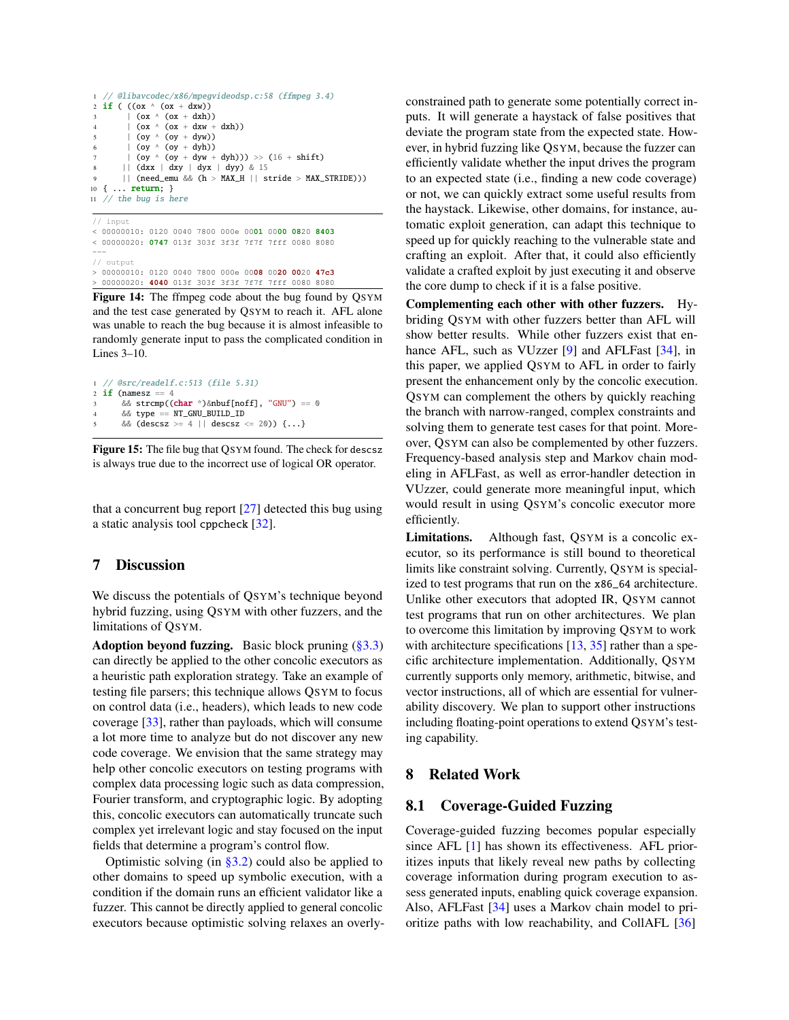```
1 // @libavcodec/x86/mpegvideodsp.c:58 (ffmpeg 3.4)
2 if ((\text{ox} \land (\text{ox} + \text{dxw}))3 \qquad \qquad \text{(ox ^ (ox + dxh))}4 \qquad \qquad \begin{array}{c} \hline \text{(ox ^ (ox + d x w + d x h))} \\ \hline \end{array}5 \qquad \qquad (ov \wedge (ov + dyw))
             (oy \land (oy + dyh))(oy \land (oy + dyw + dyh))) \gg (16 + shift)8 || (dxx | dxy | dyx | dyy) & 15
         || (need_emu && (h > MAX_H || stride > MAX_STRIDE)))
10 { ... return; }
11 // the bug is here
```
// input < 00000010: 0120 0040 7800 000e 00**01** 00**00 08**20 **8403** < 00000020: **0747** 013f 303f 3f3f 7f7f 7fff 0080 8080 --- // output > 00000010: 0120 0040 7800 000e 00**08** 00**20 00**20 **47c3** > 00000020: **4040** 013f 303f 3f3f 7f7f 7fff 0080 8080

Figure 14: The ffmpeg code about the bug found by QSYM and the test case generated by QSYM to reach it. AFL alone was unable to reach the bug because it is almost infeasible to randomly generate input to pass the complicated condition in Lines 3–10.

```
1 // @src/readelf.c:513 (file 5.31)
2 if (namesz == 4
      \& strcmp((char *)&nbuf[noff], "GNU") == 0
      4 && type == NT_GNU_BUILD_ID
      5 && (descsz >= 4 || descsz <= 20)) {...}
```
Figure 15: The file bug that QSYM found. The check for descsz is always true due to the incorrect use of logical OR operator.

that a concurrent bug report [\[27\]](#page-16-1) detected this bug using a static analysis tool cppcheck [\[32\]](#page-16-5).

#### <span id="page-13-0"></span>7 Discussion

We discuss the potentials of QSYM's technique beyond hybrid fuzzing, using QSYM with other fuzzers, and the limitations of QSYM.

Adoption beyond fuzzing. Basic block pruning  $(\S 3.3)$ can directly be applied to the other concolic executors as a heuristic path exploration strategy. Take an example of testing file parsers; this technique allows QSYM to focus on control data (i.e., headers), which leads to new code coverage [\[33\]](#page-16-6), rather than payloads, which will consume a lot more time to analyze but do not discover any new code coverage. We envision that the same strategy may help other concolic executors on testing programs with complex data processing logic such as data compression, Fourier transform, and cryptographic logic. By adopting this, concolic executors can automatically truncate such complex yet irrelevant logic and stay focused on the input fields that determine a program's control flow.

Optimistic solving (in  $\S$ 3.2) could also be applied to other domains to speed up symbolic execution, with a condition if the domain runs an efficient validator like a fuzzer. This cannot be directly applied to general concolic executors because optimistic solving relaxes an overlyconstrained path to generate some potentially correct inputs. It will generate a haystack of false positives that deviate the program state from the expected state. However, in hybrid fuzzing like QSYM, because the fuzzer can efficiently validate whether the input drives the program to an expected state (i.e., finding a new code coverage) or not, we can quickly extract some useful results from the haystack. Likewise, other domains, for instance, automatic exploit generation, can adapt this technique to speed up for quickly reaching to the vulnerable state and crafting an exploit. After that, it could also efficiently validate a crafted exploit by just executing it and observe the core dump to check if it is a false positive.

Complementing each other with other fuzzers. Hybriding QSYM with other fuzzers better than AFL will show better results. While other fuzzers exist that en-hance AFL, such as VUzzer [\[9\]](#page-15-2) and AFLFast [\[34\]](#page-16-7), in this paper, we applied QSYM to AFL in order to fairly present the enhancement only by the concolic execution. QSYM can complement the others by quickly reaching the branch with narrow-ranged, complex constraints and solving them to generate test cases for that point. Moreover, QSYM can also be complemented by other fuzzers. Frequency-based analysis step and Markov chain modeling in AFLFast, as well as error-handler detection in VUzzer, could generate more meaningful input, which would result in using QSYM's concolic executor more efficiently.

Limitations. Although fast, QSYM is a concolic executor, so its performance is still bound to theoretical limits like constraint solving. Currently, QSYM is specialized to test programs that run on the x86\_64 architecture. Unlike other executors that adopted IR, QSYM cannot test programs that run on other architectures. We plan to overcome this limitation by improving QSYM to work with architecture specifications  $[13, 35]$  $[13, 35]$  $[13, 35]$  rather than a specific architecture implementation. Additionally, QSYM currently supports only memory, arithmetic, bitwise, and vector instructions, all of which are essential for vulnerability discovery. We plan to support other instructions including floating-point operations to extend QSYM's testing capability.

#### <span id="page-13-1"></span>8 Related Work

## 8.1 Coverage-Guided Fuzzing

Coverage-guided fuzzing becomes popular especially since AFL [\[1\]](#page-14-0) has shown its effectiveness. AFL prioritizes inputs that likely reveal new paths by collecting coverage information during program execution to assess generated inputs, enabling quick coverage expansion. Also, AFLFast [\[34\]](#page-16-7) uses a Markov chain model to prioritize paths with low reachability, and CollAFL [\[36\]](#page-16-9)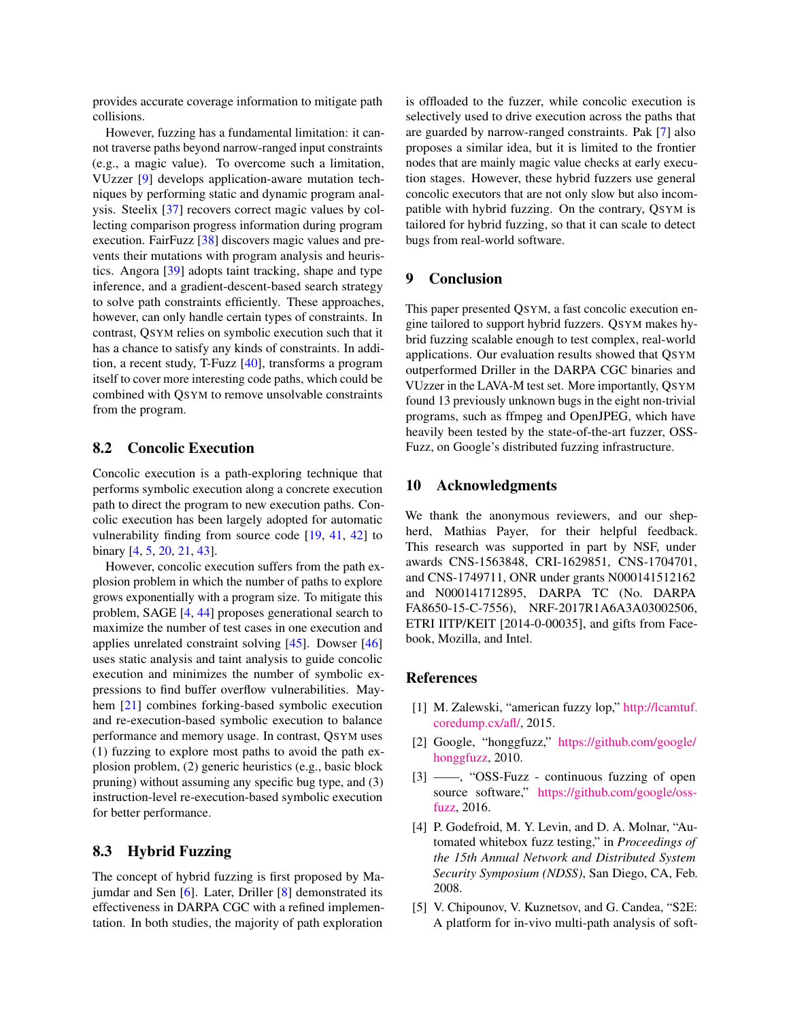provides accurate coverage information to mitigate path collisions.

However, fuzzing has a fundamental limitation: it cannot traverse paths beyond narrow-ranged input constraints (e.g., a magic value). To overcome such a limitation, VUzzer [\[9\]](#page-15-2) develops application-aware mutation techniques by performing static and dynamic program analysis. Steelix [\[37\]](#page-16-10) recovers correct magic values by collecting comparison progress information during program execution. FairFuzz [\[38\]](#page-16-11) discovers magic values and prevents their mutations with program analysis and heuristics. Angora [\[39\]](#page-16-12) adopts taint tracking, shape and type inference, and a gradient-descent-based search strategy to solve path constraints efficiently. These approaches, however, can only handle certain types of constraints. In contrast, QSYM relies on symbolic execution such that it has a chance to satisfy any kinds of constraints. In addition, a recent study, T-Fuzz [\[40\]](#page-16-13), transforms a program itself to cover more interesting code paths, which could be combined with QSYM to remove unsolvable constraints from the program.

#### 8.2 Concolic Execution

Concolic execution is a path-exploring technique that performs symbolic execution along a concrete execution path to direct the program to new execution paths. Concolic execution has been largely adopted for automatic vulnerability finding from source code [\[19,](#page-15-12) [41,](#page-16-14) [42\]](#page-16-15) to binary [\[4,](#page-14-2) [5,](#page-14-3) [20,](#page-15-13) [21,](#page-15-14) [43\]](#page-16-16).

However, concolic execution suffers from the path explosion problem in which the number of paths to explore grows exponentially with a program size. To mitigate this problem, SAGE [\[4,](#page-14-2) [44\]](#page-16-17) proposes generational search to maximize the number of test cases in one execution and applies unrelated constraint solving [\[45\]](#page-16-18). Dowser [\[46\]](#page-16-19) uses static analysis and taint analysis to guide concolic execution and minimizes the number of symbolic expressions to find buffer overflow vulnerabilities. Mayhem [\[21\]](#page-15-14) combines forking-based symbolic execution and re-execution-based symbolic execution to balance performance and memory usage. In contrast, QSYM uses (1) fuzzing to explore most paths to avoid the path explosion problem, (2) generic heuristics (e.g., basic block pruning) without assuming any specific bug type, and (3) instruction-level re-execution-based symbolic execution for better performance.

## 8.3 Hybrid Fuzzing

The concept of hybrid fuzzing is first proposed by Majumdar and Sen [\[6\]](#page-15-0). Later, Driller [\[8\]](#page-15-1) demonstrated its effectiveness in DARPA CGC with a refined implementation. In both studies, the majority of path exploration

is offloaded to the fuzzer, while concolic execution is selectively used to drive execution across the paths that are guarded by narrow-ranged constraints. Pak [\[7\]](#page-15-20) also proposes a similar idea, but it is limited to the frontier nodes that are mainly magic value checks at early execution stages. However, these hybrid fuzzers use general concolic executors that are not only slow but also incompatible with hybrid fuzzing. On the contrary, QSYM is tailored for hybrid fuzzing, so that it can scale to detect bugs from real-world software.

#### <span id="page-14-4"></span>9 Conclusion

This paper presented QSYM, a fast concolic execution engine tailored to support hybrid fuzzers. QSYM makes hybrid fuzzing scalable enough to test complex, real-world applications. Our evaluation results showed that QSYM outperformed Driller in the DARPA CGC binaries and VUzzer in the LAVA-M test set. More importantly, QSYM found 13 previously unknown bugs in the eight non-trivial programs, such as ffmpeg and OpenJPEG, which have heavily been tested by the state-of-the-art fuzzer, OSS-Fuzz, on Google's distributed fuzzing infrastructure.

#### 10 Acknowledgments

We thank the anonymous reviewers, and our shepherd, Mathias Payer, for their helpful feedback. This research was supported in part by NSF, under awards CNS-1563848, CRI-1629851, CNS-1704701, and CNS-1749711, ONR under grants N000141512162 and N000141712895, DARPA TC (No. DARPA FA8650-15-C-7556), NRF-2017R1A6A3A03002506, ETRI IITP/KEIT [2014-0-00035], and gifts from Facebook, Mozilla, and Intel.

#### References

- <span id="page-14-0"></span>[1] M. Zalewski, "american fuzzy lop," [http://lcamtuf.](http://lcamtuf.coredump.cx/afl/) [coredump.cx/afl/,](http://lcamtuf.coredump.cx/afl/) 2015.
- [2] Google, "honggfuzz," [https://github.com/google/](https://github.com/google/honggfuzz) [honggfuzz,](https://github.com/google/honggfuzz) 2010.
- <span id="page-14-1"></span>[3] ——, "OSS-Fuzz - continuous fuzzing of open source software," [https://github.com/google/oss](https://github.com/google/oss-fuzz)[fuzz,](https://github.com/google/oss-fuzz) 2016.
- <span id="page-14-2"></span>[4] P. Godefroid, M. Y. Levin, and D. A. Molnar, "Automated whitebox fuzz testing," in *Proceedings of the 15th Annual Network and Distributed System Security Symposium (NDSS)*, San Diego, CA, Feb. 2008.
- <span id="page-14-3"></span>[5] V. Chipounov, V. Kuznetsov, and G. Candea, "S2E: A platform for in-vivo multi-path analysis of soft-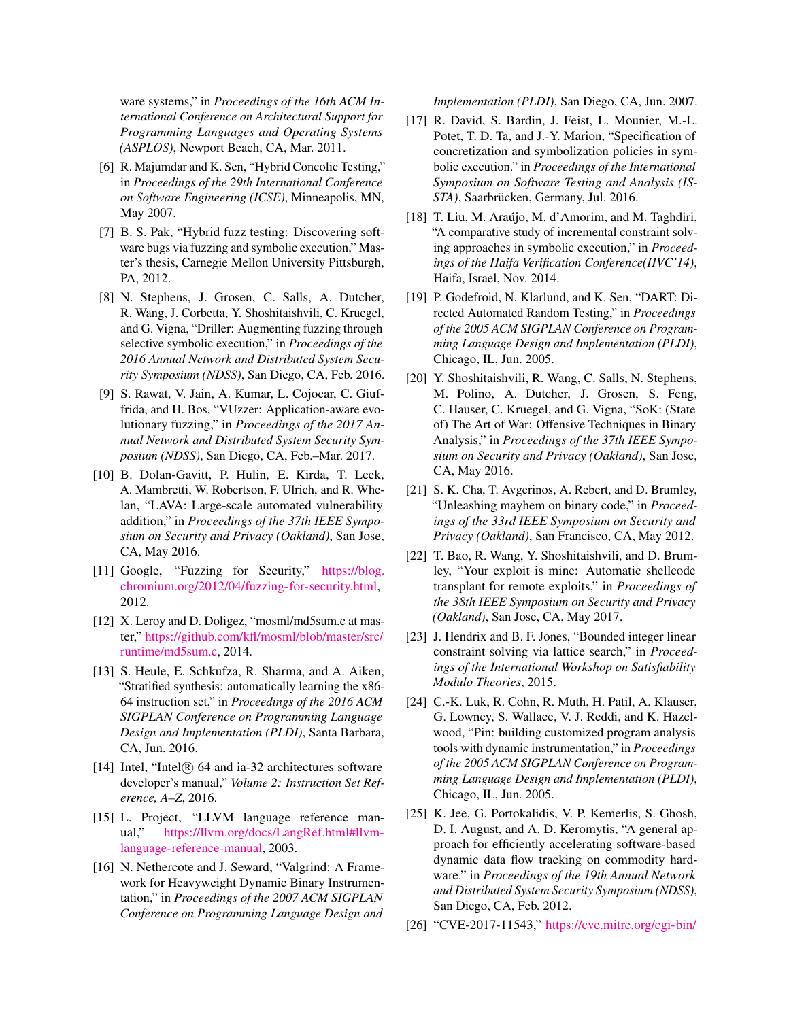ware systems," in *Proceedings of the 16th ACM International Conference on Architectural Support for Programming Languages and Operating Systems (ASPLOS)*, Newport Beach, CA, Mar. 2011.

- <span id="page-15-0"></span>[6] R. Majumdar and K. Sen, "Hybrid Concolic Testing," in *Proceedings of the 29th International Conference on Software Engineering (ICSE)*, Minneapolis, MN, May 2007.
- <span id="page-15-20"></span>[7] B. S. Pak, "Hybrid fuzz testing: Discovering software bugs via fuzzing and symbolic execution," Master's thesis, Carnegie Mellon University Pittsburgh, PA, 2012.
- <span id="page-15-1"></span>[8] N. Stephens, J. Grosen, C. Salls, A. Dutcher, R. Wang, J. Corbetta, Y. Shoshitaishvili, C. Kruegel, and G. Vigna, "Driller: Augmenting fuzzing through selective symbolic execution," in *Proceedings of the 2016 Annual Network and Distributed System Security Symposium (NDSS)*, San Diego, CA, Feb. 2016.
- <span id="page-15-2"></span>[9] S. Rawat, V. Jain, A. Kumar, L. Cojocar, C. Giuffrida, and H. Bos, "VUzzer: Application-aware evolutionary fuzzing," in *Proceedings of the 2017 Annual Network and Distributed System Security Symposium (NDSS)*, San Diego, CA, Feb.–Mar. 2017.
- <span id="page-15-3"></span>[10] B. Dolan-Gavitt, P. Hulin, E. Kirda, T. Leek, A. Mambretti, W. Robertson, F. Ulrich, and R. Whelan, "LAVA: Large-scale automated vulnerability addition," in *Proceedings of the 37th IEEE Symposium on Security and Privacy (Oakland)*, San Jose, CA, May 2016.
- <span id="page-15-4"></span>[11] Google, "Fuzzing for Security," [https://blog.](https://blog.chromium.org/2012/04/fuzzing-for-security.html) [chromium.org/2012/04/fuzzing-for-security.html,](https://blog.chromium.org/2012/04/fuzzing-for-security.html) 2012.
- <span id="page-15-5"></span>[12] X. Leroy and D. Doligez, "mosml/md5sum.c at master," [https://github.com/kfl/mosml/blob/master/src/](https://github.com/kfl/mosml/blob/master/src/runtime/md5sum.c) [runtime/md5sum.c,](https://github.com/kfl/mosml/blob/master/src/runtime/md5sum.c) 2014.
- <span id="page-15-6"></span>[13] S. Heule, E. Schkufza, R. Sharma, and A. Aiken, "Stratified synthesis: automatically learning the x86- 64 instruction set," in *Proceedings of the 2016 ACM SIGPLAN Conference on Programming Language Design and Implementation (PLDI)*, Santa Barbara, CA, Jun. 2016.
- <span id="page-15-7"></span>[14] Intel, "Intel $\overline{R}$  64 and ia-32 architectures software developer's manual," *Volume 2: Instruction Set Reference, A–Z*, 2016.
- <span id="page-15-8"></span>[15] L. Project, "LLVM language reference manual," [https://llvm.org/docs/LangRef.html#llvm](https://llvm.org/docs/LangRef.html#llvm-language-reference-manual)[language-reference-manual,](https://llvm.org/docs/LangRef.html#llvm-language-reference-manual) 2003.
- <span id="page-15-9"></span>[16] N. Nethercote and J. Seward, "Valgrind: A Framework for Heavyweight Dynamic Binary Instrumentation," in *Proceedings of the 2007 ACM SIGPLAN Conference on Programming Language Design and*

*Implementation (PLDI)*, San Diego, CA, Jun. 2007.

- <span id="page-15-10"></span>[17] R. David, S. Bardin, J. Feist, L. Mounier, M.-L. Potet, T. D. Ta, and J.-Y. Marion, "Specification of concretization and symbolization policies in symbolic execution." in *Proceedings of the International Symposium on Software Testing and Analysis (IS-STA)*, Saarbrücken, Germany, Jul. 2016.
- <span id="page-15-11"></span>[18] T. Liu, M. Araújo, M. d'Amorim, and M. Taghdiri, "A comparative study of incremental constraint solving approaches in symbolic execution," in *Proceedings of the Haifa Verification Conference(HVC'14)*, Haifa, Israel, Nov. 2014.
- <span id="page-15-12"></span>[19] P. Godefroid, N. Klarlund, and K. Sen, "DART: Directed Automated Random Testing," in *Proceedings of the 2005 ACM SIGPLAN Conference on Programming Language Design and Implementation (PLDI)*, Chicago, IL, Jun. 2005.
- <span id="page-15-13"></span>[20] Y. Shoshitaishvili, R. Wang, C. Salls, N. Stephens, M. Polino, A. Dutcher, J. Grosen, S. Feng, C. Hauser, C. Kruegel, and G. Vigna, "SoK: (State of) The Art of War: Offensive Techniques in Binary Analysis," in *Proceedings of the 37th IEEE Symposium on Security and Privacy (Oakland)*, San Jose, CA, May 2016.
- <span id="page-15-14"></span>[21] S. K. Cha, T. Avgerinos, A. Rebert, and D. Brumley, "Unleashing mayhem on binary code," in *Proceedings of the 33rd IEEE Symposium on Security and Privacy (Oakland)*, San Francisco, CA, May 2012.
- <span id="page-15-15"></span>[22] T. Bao, R. Wang, Y. Shoshitaishvili, and D. Brumley, "Your exploit is mine: Automatic shellcode transplant for remote exploits," in *Proceedings of the 38th IEEE Symposium on Security and Privacy (Oakland)*, San Jose, CA, May 2017.
- <span id="page-15-16"></span>[23] J. Hendrix and B. F. Jones, "Bounded integer linear constraint solving via lattice search," in *Proceedings of the International Workshop on Satisfiability Modulo Theories*, 2015.
- <span id="page-15-17"></span>[24] C.-K. Luk, R. Cohn, R. Muth, H. Patil, A. Klauser, G. Lowney, S. Wallace, V. J. Reddi, and K. Hazelwood, "Pin: building customized program analysis tools with dynamic instrumentation," in *Proceedings of the 2005 ACM SIGPLAN Conference on Programming Language Design and Implementation (PLDI)*, Chicago, IL, Jun. 2005.
- <span id="page-15-18"></span>[25] K. Jee, G. Portokalidis, V. P. Kemerlis, S. Ghosh, D. I. August, and A. D. Keromytis, "A general approach for efficiently accelerating software-based dynamic data flow tracking on commodity hardware." in *Proceedings of the 19th Annual Network and Distributed System Security Symposium (NDSS)*, San Diego, CA, Feb. 2012.
- <span id="page-15-19"></span>[26] "CVE-2017-11543," [https://cve.mitre.org/cgi-bin/](https://cve.mitre.org/cgi-bin/cvename.cgi?name=CVE-2017-11543)